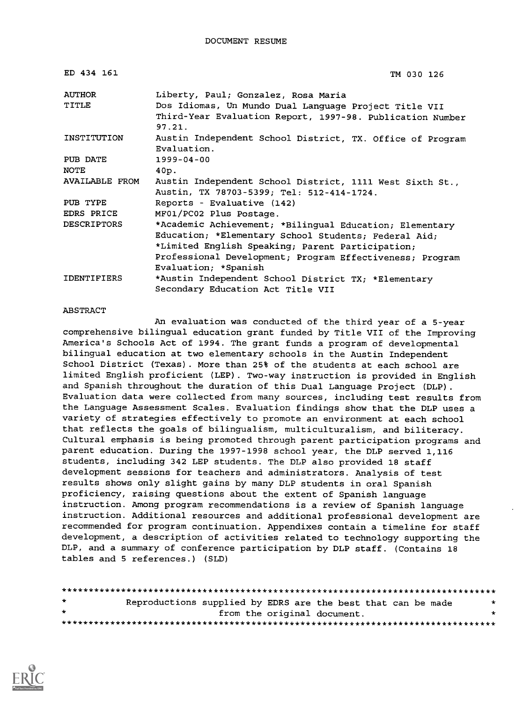| ED 434 161            | TM 030 126                                                                                                                   |
|-----------------------|------------------------------------------------------------------------------------------------------------------------------|
| AUTHOR                | Liberty, Paul; Gonzalez, Rosa Maria                                                                                          |
| TITLE                 | Dos Idiomas, Un Mundo Dual Language Project Title VII<br>Third-Year Evaluation Report, 1997-98. Publication Number<br>97.21. |
| INSTITUTION           | Austin Independent School District, TX. Office of Program<br>Evaluation.                                                     |
| PUB DATE              | 1999-04-00                                                                                                                   |
| <b>NOTE</b>           | 40p.                                                                                                                         |
| <b>AVAILABLE FROM</b> | Austin Independent School District, 1111 West Sixth St.,<br>Austin, TX 78703-5399; Tel: 512-414-1724.                        |
| PUB TYPE              | Reports - Evaluative (142)                                                                                                   |
| EDRS PRICE            | MF01/PC02 Plus Postage.                                                                                                      |
| <b>DESCRIPTORS</b>    | *Academic Achievement; *Bilingual Education; Elementary                                                                      |
|                       | Education; *Elementary School Students; Federal Aid;                                                                         |
|                       | *Limited English Speaking; Parent Participation;                                                                             |
|                       | Professional Development; Program Effectiveness; Program                                                                     |
|                       | Evaluation; *Spanish                                                                                                         |
| <b>IDENTIFIERS</b>    | *Austin Independent School District TX; *Elementary                                                                          |
|                       | Secondary Education Act Title VII                                                                                            |

#### ABSTRACT

An evaluation was conducted of the third year of a 5-year comprehensive bilingual education grant funded by Title VII of the Improving America's Schools Act of 1994. The grant funds a program of developmental bilingual education at two elementary schools in the Austin Independent School District (Texas). More than 25% of the students at each school are limited English proficient (LEP). Two-way instruction is provided in English and Spanish throughout the duration of this Dual Language Project (DLP). Evaluation data were collected from many sources, including test results from the Language Assessment Scales. Evaluation findings show that the DLP uses a variety of strategies effectively to promote an environment at each school that reflects the goals of bilingualism, multiculturalism, and biliteracy. Cultural emphasis is being promoted through parent participation programs and parent education. During the 1997-1998 school year, the DLP served 1,116 students, including 342 LEP students. The DLP also provided 18 staff development sessions for teachers and administrators. Analysis of test results shows only slight gains by many DLP students in oral Spanish proficiency, raising questions about the extent of Spanish language instruction. Among program recommendations is a review of Spanish language instruction. Additional resources and additional professional development are recommended for program continuation. Appendixes contain a timeline for staff development, a description of activities related to technology supporting the DLP, and a summary of conference participation by DLP staff. (Contains 18 tables and 5 references.) (SLD)

| $\star$ | Reproductions supplied by EDRS are the best that can be made |  |                             |  | * |
|---------|--------------------------------------------------------------|--|-----------------------------|--|---|
| $\star$ |                                                              |  | from the original document. |  | ÷ |
|         |                                                              |  |                             |  |   |

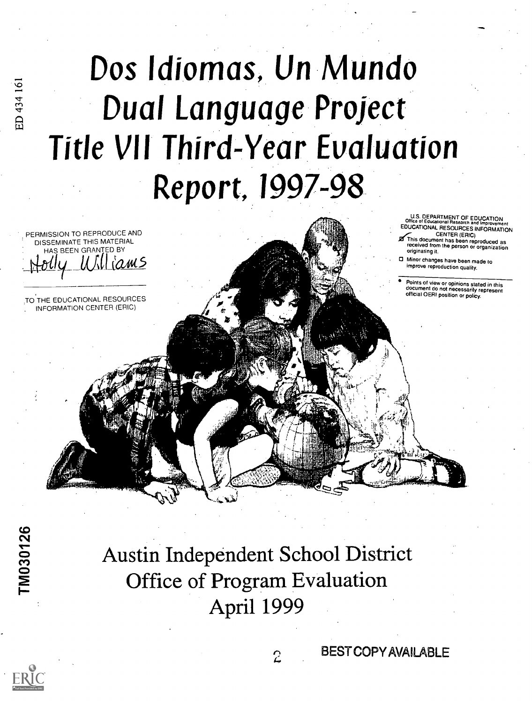# Dos ldiomas, Un Mundo Dual Language Project **Title VII Third-Year Evaluation** Report, 1997-98

 $\mathcal{A}^{\mathcal{A}}$  and  $\mathcal{A}^{\mathcal{A}}$ dre and the second second second second second second second second second second second second second second

U.S. DEPARTMENT OF EDUCATION EDUCATIONAL RESOURCES INFORMATION<br>CENTER (ERIC)

LENTER (ERIC)<br>This document has been reproduced as<br>received from the person or organization originating it.

Minor changes have been made to improve reproduction quality.

Points of view or opinions stated in this document do not necessarily represent official OERI position or policy.

Austin Independent School District Office of Program Evaluation April 1999



 $\overline{\mathbf{26}}$ 

BEST COPY AVAILABLE

PERMISSION TO REPRODUCE AND DISSEMINATE THIS MATERIAL S BEEN GRANTED BY

THE EDUCATIONAL RESOURCES INFORMATION CENTER (ERIC)

 $\mu$  unicom  $\geq$ 

ED 434 161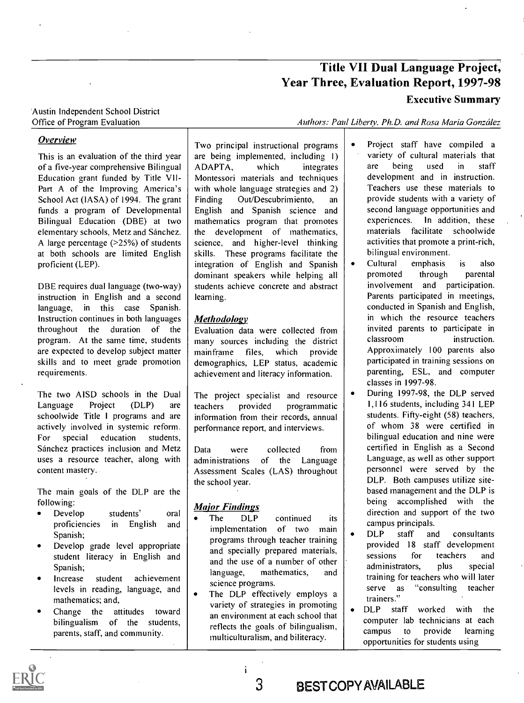### Title VII Dual Language Project, Year Three, Evaluation Report, 1997-98

#### Executive Summary

#### Austin Independent School District Office of Program Evaluation

#### Overview

This is an evaluation of the third year of a five-year comprehensive Bilingual | ADAPTA, Education grant funded by Title VII-Part A of the Improving America's School Act (IASA) of 1994. The grant Finding funds a program of Developmental Bilingual Education (DBE) at two elementary schools, Metz and Sánchez. A large percentage (>25%) of students at both schools are limited English proficient (LEP).

DBE requires dual language (two-way) instruction in English and a second language, in this case Spanish. Instruction continues in both languages throughout the duration of the program. At the same time, students are expected to develop subject matter skills and to meet grade promotion requirements.

The two AISD schools in the Dual Language Project (DLP) are teachers schoolwide Title I programs and are actively involved in systemic reform. For special education students, Sánchez practices inclusion and Metz  $\parallel$  Data uses a resource teacher, along with content mastery.

The main goals of the DLP are the following:

- Develop students' oral  $\bullet$  $\left| \begin{array}{ccc} \bullet & \text{true} \\ \bullet & \text{true} \end{array} \right|$   $\left| \begin{array}{ccc} \bullet & \text{true} \\ \bullet & \text{true} \end{array} \right|$ Spanish;
- Develop grade level appropriate  $\bullet$ student literacy in English and Spanish;
- Increase student achievement levels in reading, language, and mathematics; and,
- Change the attitudes toward bilingualism of the students, parents, staff, and community.

Two principal instructional programs are being implemented, including 1) which integrates  $\vert$  are Montessori materials and techniques with whole language strategies and 2) Out/Descubrimiento, an English and Spanish science and mathematics program that promotes the development of mathematics, science, and higher-level thinking skills. These programs facilitate the  $\vert$  bilingual integration of English and Spanish integration of English and Spanish dominant speakers while helping all students achieve concrete and abstract learning.

#### Methodology

Evaluation data were collected from  $\begin{array}{c|c} \text{invited} \text{ is} \\ \text{many} \text{ sources} \text{ including the district} \end{array}$ many sources including the district mainframe files, which provide demographics, LEP status, academic achievement and literacy information.

The project specialist and resource provided programmatic information from their records, annual performance report, and interviews.

were collected from administrations of the Language Assessment Scales (LAS) throughout the school year.

#### Major Findings

- DLP continued its implementation of two main  $\begin{bmatrix} \text{coup} \\ \text{coup} \end{bmatrix}$ programs through teacher training and specially prepared materials, and specially prepared inaterials,<br>and the use of a number of other language, mathematics, and science programs.
- Science programs.<br>The DLP effectively employs a  $\left| \right|$  serve as variety of strategies in promoting  $\left| \right.$   $\left. \right|$  DLP an environment at each school that reflects the goals of bilingualism, multiculturalism, and biliteracy.

Authors: Paul Liberty. Ph.D. and Rosa Maria González

- Project staff have compiled a variety of cultural materials that being used in staff development and in instruction. Teachers use these materials to provide students with a variety of second language opportunities and experiences. In addition, these materials facilitate schoolwide activities that promote a print-rich, bilingual environment.
- emphasis is promoted through also parental involvement and participation. Parents participated in meetings, conducted in Spanish and English, in which the resource teachers invited parents to participate in instruction. Approximately 100 parents also participated in training sessions on parenting, ESL, and computer classes in 1997-98.
- During 1997-98, the DLP served 1,116 students, including 341 LEP students. Fifty-eight (58) teachers, of whom 38 were certified in bilingual education and nine were certified in English as a Second Language, as well as other support personnel were served by the DLP. Both campuses utilize sitebased management and the DLP is being accomplished with the direction and support of the two campus principals.
- staff and consultants provided 18 staff development for teachers and administrators, plus special training for teachers who will later "consulting teacher trainers."
- staff worked with the computer lab technicians at each campus to provide learning opportunities for students using



3 BEST COPY AVAILABLE

i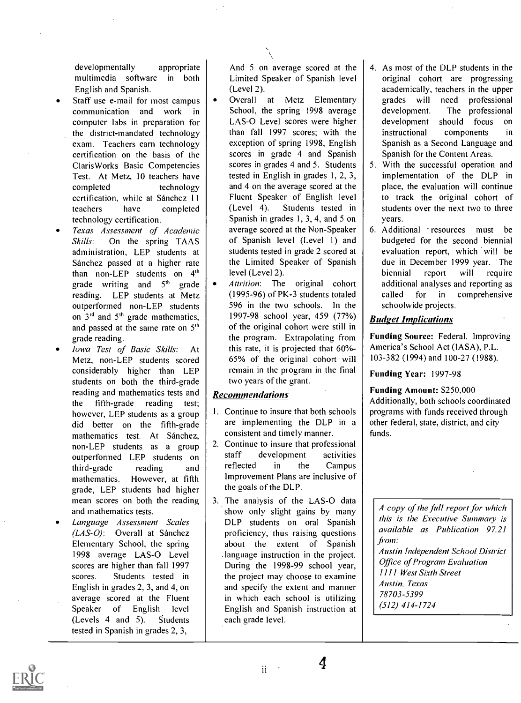developmentally appropriate multimedia software in both English and Spanish.

- Staff use e-mail for most campus communication and work in computer labs in preparation for the district-mandated technology exam. Teachers earn technology certification on the basis of the ClarisWorks Basic Competencies Test. At Metz, 10 teachers have completed technology certification, while at Sánchez 11 Fluent Spe<br>teachers have completed (Level 4). teachers have completed technology certification.
- Texas Assessment of Academic Skills: On the spring TAAS administration, LEP students at Sánchez passed at a higher rate than non-LEP students on 4'h grade writing and  $5<sup>th</sup>$  grade reading. LEP students at Metz outperformed non-LEP students on  $3<sup>rd</sup>$  and  $5<sup>th</sup>$  grade mathematics, and passed at the same rate on  $5<sup>th</sup>$ grade reading.
- Iowa Test of Basic Skills: At Metz, non-LEP students scored considerably higher than LEP students on both the third-grade reading and mathematics tests and the fifth-grade reading test; however, LEP students as a group did better on the fifth-grade mathematics test. At Sánchez, non-LEP students as a group  $\begin{pmatrix} 2. & \text{Cont} \\ -\text{outneformed} & \text{LEP} \end{pmatrix}$  staff outperformed LEP students on start<br>third-orade reading and reflected third-grade reading and mathematics. However, at fifth grade, LEP students had higher mean scores on both the reading and mathematics tests.
- Language Assessment Scales  $(LAS-O)$ : Overall at Sánchez Elementary School, the spring 1998 average LAS-0 Level scores are higher than fall 1997 scores. Students tested in English in grades 2, 3, and 4, on average scored at the Fluent Speaker of English level (Levels 4 and 5). Students tested in Spanish in grades 2, 3,

And 5 on average scored at the Limited Speaker of Spanish level (Level 2).

- Overall at Metz Elementary School, the spring 1998 average | development. LAS-O Level scores were higher development than fall 1997 scores; with the exception of spring 1998, English scores in grade 4 and Spanish scores in grades 4 and 5. Students tested in English in grades 1, 2, 3, and 4 on the average scored at the Fluent Speaker of English level Students tested in Spanish in grades 1, 3, 4, and 5 on average scored at the Non-Speaker of Spanish level (Level I) and students tested in grade 2 scored at the Limited Speaker of Spanish level (Level 2).
- Attrition: The original cohort (1995-96) of PK-3 students totaled 596 in the two schools. In the 1997-98 school year, 459 (77%) of the original cohort were still in the program. Extrapolating from this rate, it is projected that 60%-65% of the original cohort will remain in the program in the final two years of the grant.

#### Recommendations

- 1. Continue to insure that both schools are implementing the DLP in <sup>a</sup> consistent and timely manner.
- 2. Continue to insure that professional development activities in the Campus Improvement Plans are inclusive of the goals of the DLP.
- 3. The analysis of the LAS-0 data show only slight gains by many DLP students on oral Spanish proficiency, thus raising questions about the extent of Spanish . language instruction in the project. During the 1998-99 school year, the project may choose to examine and specify the extent and manner in which each school is utilizing English and Spanish instruction at each grade level.
- 4. As most of the DLP students in the original cohort are progressing academically, teachers in the upper grades will need professional The professional should focus on instructional components in Spanish as a Second Language and Spanish for the Content Areas.
- 5. With the successful operation and implementation of the DLP in place, the evaluation will continue to track the original cohort of students over the next two to three years.
- 6. Additional resources must be budgeted for the second biennial evaluation report, which will be due in December 1999 year. The biennial report will require additional analyses and reporting as called for in comprehensive schoolwide projects.

#### Budget Implications

Funding Source: Federal. Improving America's School Act (IASA), P.L. 103-382 (1994) and 100-27 (1988).

Funding Year: 1997-98

Funding Amount: \$250,000 Additionally, both schools coordinated programs with funds received through other federal, state, district, and city funds.

A copy of the full report for which this is the Executive Summary is available as Publication 97.21 from: Austin Independent School District Office of Program Evaluation 1111 West Sixth Street Austin, Texas 78703-5399 ( 512) 414-1724

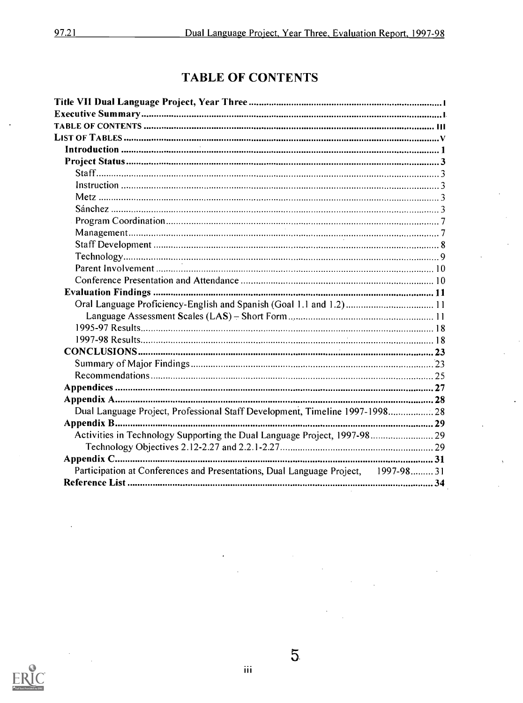### TABLE OF CONTENTS

| Oral Language Proficiency-English and Spanish (Goal 1.1 and 1.2) 11               |  |
|-----------------------------------------------------------------------------------|--|
|                                                                                   |  |
|                                                                                   |  |
|                                                                                   |  |
|                                                                                   |  |
|                                                                                   |  |
|                                                                                   |  |
|                                                                                   |  |
|                                                                                   |  |
| Dual Language Project, Professional Staff Development, Timeline 1997-1998 28      |  |
|                                                                                   |  |
| Activities in Technology Supporting the Dual Language Project, 1997-98 29         |  |
|                                                                                   |  |
|                                                                                   |  |
| Participation at Conferences and Presentations, Dual Language Project, 1997-98 31 |  |
|                                                                                   |  |
|                                                                                   |  |



5.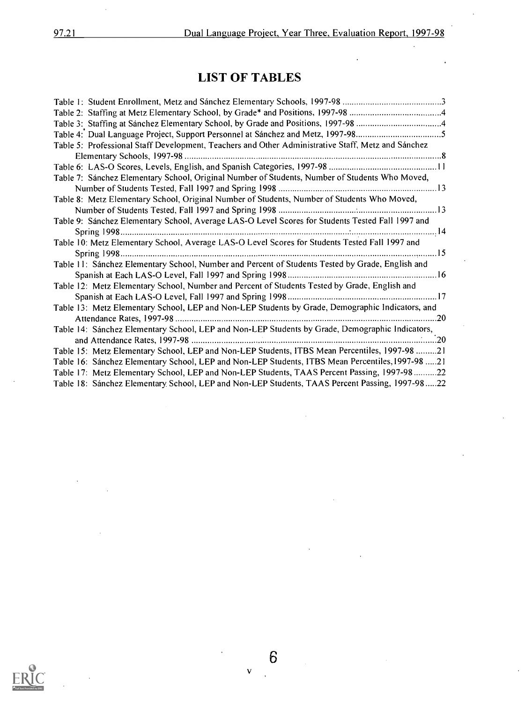ï

### LIST OF TABLES

| Table 5: Professional Staff Development, Teachers and Other Administrative Staff, Metz and Sánchez |
|----------------------------------------------------------------------------------------------------|
|                                                                                                    |
|                                                                                                    |
| Table 7: Sánchez Elementary School, Original Number of Students, Number of Students Who Moved,     |
|                                                                                                    |
| Table 8: Metz Elementary School, Original Number of Students, Number of Students Who Moved,        |
|                                                                                                    |
| Table 9: Sánchez Elementary School, Average LAS-O Level Scores for Students Tested Fall 1997 and   |
|                                                                                                    |
| Table 10: Metz Elementary School, Average LAS-O Level Scores for Students Tested Fall 1997 and     |
|                                                                                                    |
| Table 11: Sánchez Elementary School, Number and Percent of Students Tested by Grade, English and   |
|                                                                                                    |
| Table 12: Metz Elementary School, Number and Percent of Students Tested by Grade, English and      |
|                                                                                                    |
| Table 13: Metz Elementary School, LEP and Non-LEP Students by Grade, Demographic Indicators, and   |
|                                                                                                    |
| Table 14: Sánchez Elementary School, LEP and Non-LEP Students by Grade, Demographic Indicators,    |
|                                                                                                    |
| Table 15: Metz Elementary School, LEP and Non-LEP Students, ITBS Mean Percentiles, 1997-98 21      |
| Table 16: Sánchez Elementary School, LEP and Non-LEP Students, ITBS Mean Percentiles, 1997-98 21   |
| Table 17: Metz Elementary School, LEP and Non-LEP Students, TAAS Percent Passing, 1997-98 22       |
| Table 18: Sánchez Elementary School, LEP and Non-LEP Students, TAAS Percent Passing, 1997-9822     |

6

 $\mathbf{v}$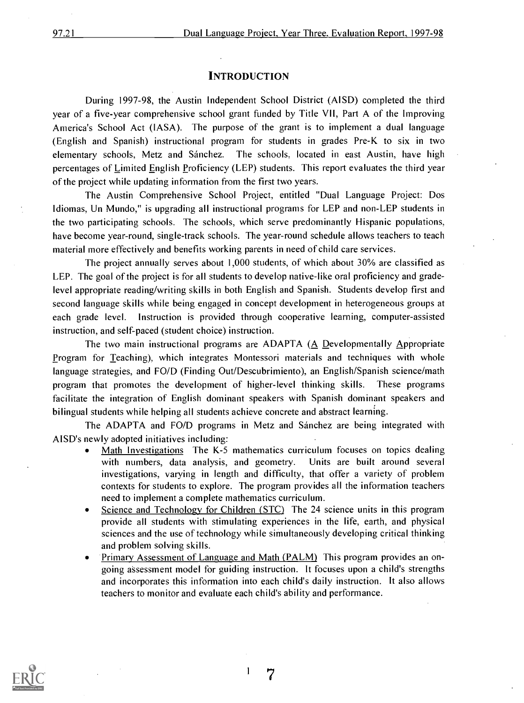#### **INTRODUCTION**

During 1997-98, the Austin Independent School District (AISD) completed the third year of a five-year comprehensive school grant funded by Title VII, Part A of the Improving America's School Act (IASA). The purpose of the grant is to implement a dual language (English and Spanish) instructional program for students in grades Pre-K to six in two elementary schools, Metz and Sánchez. The schools, located in east Austin, have high percentages of Limited English Proficiency (LEP) students. This report evaluates the third year of the project while updating information from the first two years.

The Austin Comprehensive School Project, entitled "Dual Language Project: Dos Idiomas, Un Mundo," is upgrading all instructional programs for LEP and non-LEP students in the two participating schools. The schools, which serve predominantly Hispanic populations, have become year-round, single-track schools. The year-round schedule allows teachers to teach material more effectively and benefits working parents in need of child care services.

The project annually serves about 1,000 students, of which about 30% are classified as LEP. The goal of the project is for all students to develop native-like oral proficiency and gradelevel appropriate reading/writing skills in both English and Spanish. Students develop first and second language skills while being engaged in concept development in heterogeneous groups at each grade level. Instruction is provided through cooperative learning, computer-assisted instruction, and self-paced (student choice) instruction.

The two main instructional programs are ADAPTA (A Developmentally Appropriate Program for Teaching), which integrates Montessori materials and techniques with whole language strategies, and FO/D (Finding Out/Descubrimiento), an English/Spanish science/math program that promotes the development of higher-level thinking skills. These programs facilitate the integration of English dominant speakers with Spanish dominant speakers and bilingual students while helping all students achieve concrete and abstract learning.

The ADAPTA and FO/D programs in Metz and Sanchez are being integrated with AISD's newly adopted initiatives including:

- Math Investigations The K-5 mathematics curriculum focuses on topics dealing with numbers, data analysis, and geometry. Units are built around several investigations, varying in length and difficulty, that offer a variety of problem contexts for students to explore. The program provides all the information teachers need to implement a complete mathematics curriculum.
- Science and Technology for Children (STC) The 24 science units in this program provide all students with stimulating experiences in the life, earth, and physical sciences and the use of technology while simultaneously developing critical thinking and problem solving skills.
- Primary Assessment of Language and Math (PALM) This program provides an ongoing assessment model for guiding instruction. It focuses upon a child's strengths and incorporates this information into each child's daily instruction. It also allows teachers to monitor and evaluate each child's ability and performance.



7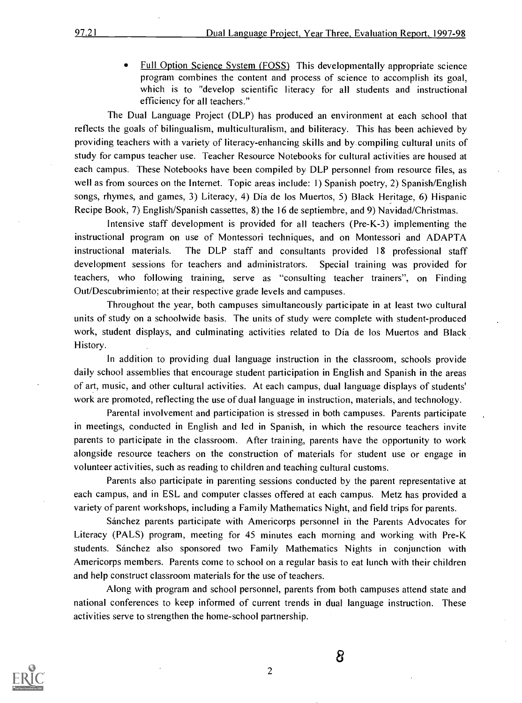Full Option Science System (FOSS) This developmentally appropriate science program combines the content and process of science to accomplish its goal, which is to "develop scientific literacy for all students and instructional efficiency for all teachers."

The Dual Language Project (DLP) has produced an environment at each school that reflects the goals of bilingualism, multiculturalism, and biliteracy. This has been achieved by providing teachers with a variety of literacy-enhancing skills and by compiling cultural units of study for campus teacher use. Teacher Resource Notebooks for cultural activities are housed at each campus. These Notebooks have been compiled by DLP personnel from resource files, as well as from sources on the Internet. Topic areas include: 1) Spanish poetry, 2) Spanish/English songs, rhymes, and games, 3) Literacy, 4) Dia de los Muertos, 5) Black Heritage, 6) Hispanic Recipe Book, 7) English/Spanish cassettes, 8) the 16 de septiembre, and 9) Navidad/Christmas.

Intensive staff development is provided for all teachers (Pre-K-3) implementing the instructional program on use of Montessori techniques, and on Montessori and ADAPTA instructional materials. The DLP staff and consultants provided 18 professional staff development sessions for teachers and administrators. Special training was provided for teachers, who following training, serve as "consulting teacher trainers", on Finding Out/Descubrimiento; at their respective grade levels and campuses.

Throughout the year, both campuses simultaneously participate in at least two cultural units of study on a schoolwide basis. The units of study were complete with student-produced work, student displays, and culminating activities related to Dia de los Muertos and Black History.

In addition to providing dual language instruction in the classroom, schools provide daily school assemblies that encourage student participation in English and Spanish in the areas of art, music, and other cultural activities. At each campus, dual language displays of students' work are promoted, reflecting the use of dual language in instruction, materials, and technology.

Parental involvement and participation is stressed in both campuses. Parents participate in meetings, conducted in English and led in Spanish, in which the resource teachers invite parents to participate in the classroom. After training, parents have the opportunity to work alongside resource teachers on the construction of materials for student use or engage in volunteer activities, such as reading to children and teaching cultural customs.

Parents also participate in parenting sessions conducted by the parent representative at each campus, and in ESL and computer classes offered at each campus. Metz has provided a variety of parent workshops, including a Family Mathematics Night, and field trips for parents.

Sanchez parents participate with Americorps personnel in the Parents Advocates for Literacy (PALS) program, meeting for 45 minutes each morning and working with Pre-K students. Sanchez also sponsored two Family Mathematics Nights in conjunction with Americorps members. Parents come to school on a regular basis to eat lunch with their children and help construct classroom materials for the use of teachers.

Along with program and school personnel, parents from both campuses attend state and national conferences to keep informed of current trends in dual language instruction. These activities serve to strengthen the home-school partnership.



2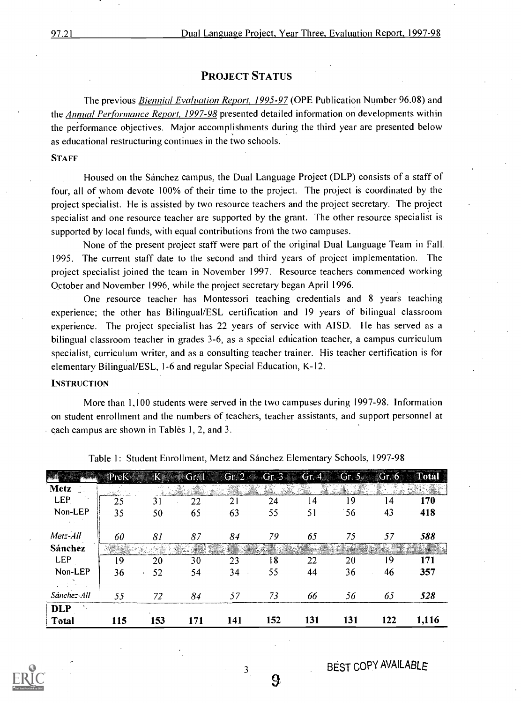#### PROJECT STATUS

The previous Biennial Evaluation Report, 1995-97 (OPE Publication Number 96.08) and the Annual Performance Report, 1997-98 presented detailed information on developments within the performance objectives. Major accomplishments during the third year are presented below as educational restructuring continues in the two schools.

#### **STAFF**

Housed on the Sanchez campus, the Dual Language Project (DLP) consists of a staff of four, all of whom devote 100% of their time to the project. The project is coordinated by the project specialist. He is assisted by two resource teachers and the project secretary. The project specialist and one resource teacher are supported by the grant. The other resource specialist is supported by local funds, with equal contributions from the two campuses.

None of the present project staff were part of the original Dual Language Team in Fall. 1995. The current staff date to the second and third years of project implementation. The project specialist joined the team in November 1997. Resource teachers commenced working October and November 1996, while the project secretary began April 1996.

One resource teacher has Montessori teaching credentials and 8 years teaching experience; the other has Bilingual/ESL certification and 19 years of bilingual classroom experience. The project specialist has 22 years of service with AISD. He has served as a bilingual classroom teacher in grades 3-6, as a special education teacher, a campus curriculum specialist, curriculum writer, and as a consulting teacher trainer. His teacher certification is for elementary Bilingual/ESL, 1-6 and regular Special Education, K-12.

#### **INSTRUCTION**

More than 1,100 students were served in the two campuses during 1997-98. Information on student enrollment and the numbers of teachers, teacher assistants, and support personnel at each campus are shown in Tables 1, 2, and 3.

|             | PreK |     | <b>S</b> Gr. 1 |     | Gr. 2 $\ll$ Gr. 3 Gr. 4 |     | Gr.5 | Gr.6 | <b>Total</b> |
|-------------|------|-----|----------------|-----|-------------------------|-----|------|------|--------------|
| <b>Metz</b> |      |     |                |     |                         |     |      |      |              |
| <b>LEP</b>  | 25   | 31  | 22             | 21  | 24                      | 14  | 19   | 14   | 170          |
| Non-LEP     | 35   | 50  | 65             | 63  | 55                      | 51  | 56   | 43   | 418          |
|             |      |     |                |     |                         |     |      |      |              |
| Metz-All    | 60   | 81  | 87             | 84  | 79                      | 65  | 75   | 57   | 588          |
| Sánchez     |      |     |                |     |                         |     |      |      |              |
| <b>LEP</b>  | 19   | 20  | 30             | 23  | 18                      | 22  | 20   | 19   | 171          |
| Non-LEP     | 36   | 52  | 54             | 34  | 55                      | 44  | 36   | 46   | 357          |
|             |      |     |                |     |                         |     |      |      |              |
| Sánchez-All | 55   | 72  | 84             | 57  | 73                      | 66  | 56   | 65   | 528          |
| <b>DLP</b>  |      |     |                |     |                         |     |      |      |              |
| Total       | 115  | 153 | 171            | 141 | 152                     | 131 | 131  | 122  | 1,116        |

Table 1: Student Enrollment, Metz and Sanchez Elementary Schools, 1997-98



9

3

BEST COPY AVAILABLE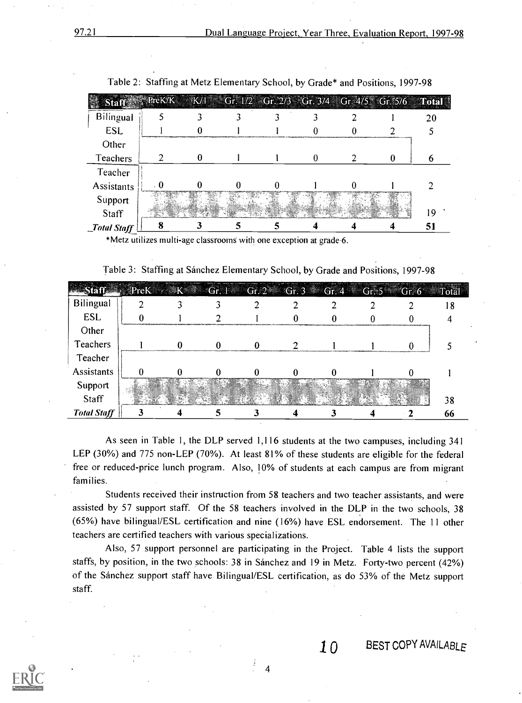| <b>Staff</b> | $S_1$ PreK/K K/1 Gr. 1/2 Gr. 2/3 Gr. 3/4 Gr. 4/5 Gr. 5/6 Total |  |  |  |    |
|--------------|----------------------------------------------------------------|--|--|--|----|
| Bilingual    |                                                                |  |  |  | 20 |
| <b>ESL</b>   |                                                                |  |  |  |    |
| Other        |                                                                |  |  |  |    |
| Teachers     |                                                                |  |  |  |    |
| Teacher      |                                                                |  |  |  |    |
| Assistants   |                                                                |  |  |  |    |
| Support      |                                                                |  |  |  |    |
| Staff        |                                                                |  |  |  | 19 |
| Total Staff  |                                                                |  |  |  | 51 |

Table 2: Staffing at Metz Elementary School, by Grade\* and Positions, 1997-98

\*Metz utilizes multi-age classrooms with one exception at grade 6.

Table 3: Staffing at Sánchez Elementary School, by Grade and Positions, 1997-98

|                    | Staff PreK K Gr. 1 Gr. 2 Gr. 3 Gr. 4 Gr. 5 Gr. 6 |  |  |  | Total |
|--------------------|--------------------------------------------------|--|--|--|-------|
| Bilingual          |                                                  |  |  |  |       |
| <b>ESL</b>         |                                                  |  |  |  |       |
| Other              |                                                  |  |  |  |       |
| Teachers           |                                                  |  |  |  |       |
| Teacher            |                                                  |  |  |  |       |
| <b>Assistants</b>  |                                                  |  |  |  |       |
| Support            |                                                  |  |  |  |       |
| Staff              |                                                  |  |  |  | 38    |
| <b>Total Staff</b> |                                                  |  |  |  | 66    |

As seen in Table 1, the DLP served 1,116 students at the two campuses, including 341 LEP (30%) and 775 non-LEP (70%). At least 81% of these students are eligible for the federal free or reduced-price lunch program. Also, 10% of students at each campus are from migrant families.

Students received their instruction from 58 teachers and two teacher assistants, and were assisted by 57 support staff. Of the 58 teachers involved in the DLP in the two schools, 38 (65%) have bilingual/ESL certification and nine (16%) have ESL endorsement. The 11 other teachers are certified teachers with various specializations.

Also, 57 support personnel are participating in the Project. Table 4 lists the support staffs, by position, in the two schools: 38 in Sánchez and 19 in Metz. Forty-two percent (42%) of the Sanchez support staff have Bilingual/ESL certification, as do 53% of the Metz support staff.

4



 $10$  BEST COPY AVAILABLE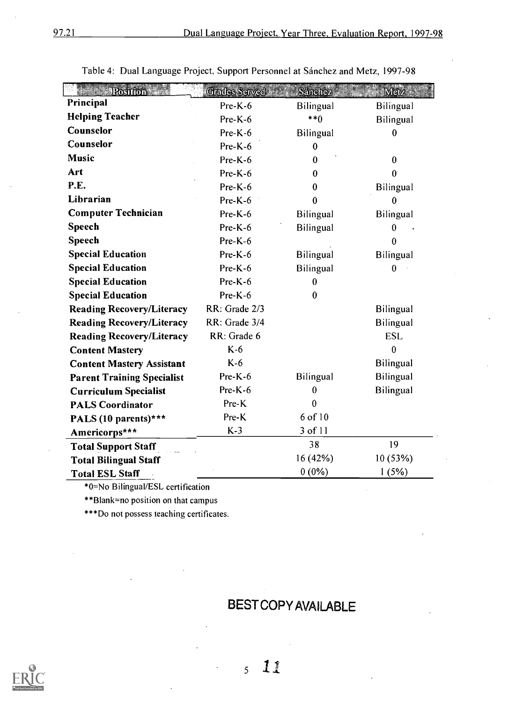| <b>Elizabeth Postfon</b>          | <b>Grades Served</b> | <b>Sänchez</b>   | Metz             |
|-----------------------------------|----------------------|------------------|------------------|
| Principal                         | Pre-K-6              | Bilingual        | Bilingual        |
| <b>Helping Teacher</b>            | $Pre-K-6$            | $***()$          | <b>Bilingual</b> |
| Counselor                         | Pre-K-6              | <b>Bilingual</b> | 0                |
| Counselor                         | $Pre-K-6$            | $\bf{0}$         |                  |
| <b>Music</b>                      | $Pre-K-6$            | 0                | $\bf{0}$         |
| Art                               | $Pre-K-6$            | $\bf{0}$         | 0                |
| P.E.                              | Pre-K-6              | $\bf{0}$         | Bilingual        |
| Librarian                         | $Pre-K-6$            | $\bf{0}$         | $\mathbf{0}$     |
| <b>Computer Technician</b>        | $Pre-K-6$            | <b>Bilingual</b> | <b>Bilingual</b> |
| <b>Speech</b>                     | $Pre-K-6$            | <b>Bilingual</b> | 0                |
| <b>Speech</b>                     | $Pre-K-6$            |                  | $\theta$         |
| <b>Special Education</b>          | $Pre-K-6$            | <b>Bilingual</b> | <b>Bilingual</b> |
| <b>Special Education</b>          | $Pre-K-6$            | <b>Bilingual</b> | $\bf{0}$         |
| <b>Special Education</b>          | Pre-K-6              | $\bf{0}$         |                  |
| <b>Special Education</b>          | Pre-K-6              | $\bf{0}$         |                  |
| <b>Reading Recovery/Literacy</b>  | RR: Grade 2/3        |                  | <b>Bilingual</b> |
| <b>Reading Recovery/Literacy</b>  | RR: Grade 3/4        |                  | <b>Bilingual</b> |
| <b>Reading Recovery/Literacy</b>  | RR: Grade 6          |                  | <b>ESL</b>       |
| <b>Content Mastery</b>            | $K-6$                |                  | $\bf{0}$         |
| <b>Content Mastery Assistant</b>  | $K-6$                |                  | <b>Bilingual</b> |
| <b>Parent Training Specialist</b> | $Pre-K-6$            | <b>Bilingual</b> | Bilingual        |
| <b>Curriculum Specialist</b>      | $Pre-K-6$            | $\bf{0}$         | <b>Bilingual</b> |
| <b>PALS Coordinator</b>           | Pre-K                | $\theta$         |                  |
| PALS (10 parents)***              | Pre-K                | 6 of 10          |                  |
| Americorps***                     | $K-3$                | 3 of 11          |                  |
| <b>Total Support Staff</b>        |                      | 38               | 19               |
| <b>Total Bilingual Staff</b>      |                      | 16(42%)          | 10(53%)          |
| <b>Total ESL Staff</b>            |                      | $0(0\%)$         | 1(5%)            |

Table 4: Dual Language Project, Support Personnel at Sánchez and Metz, 1997-98

\*0=No Bilingual/ESL certification

\*\*Blank=no position on that campus

\*\*\*Do not possess teaching certificates.

### BEST COPY AVAILABLE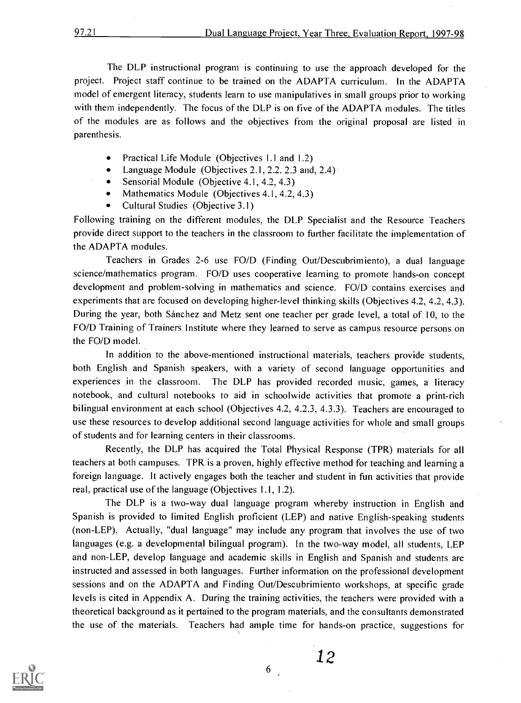The DLP instructional program is continuing to use the 'approach developed for the project. Project staff continue to be trained on the ADAPTA curriculum. In the ADAPTA model of emergent literacy, students learn to use manipulatives in small groups prior to working with them independently. The focus of the DLP is on five of the ADAPTA modules. The titles of the modules are as follows and the objectives from the original proposal are listed in parenthesis.

- Practical Life Module (Objectives 1.1 and 1.2)  $\bullet$
- Language Module (Objectives 2.1, 2.2, 2.3 and, 2.4)
- Sensorial Module (Objective 4.1, 4.2, 4.3)  $\bullet$
- Mathematics Module (Objectives 4.1, 4.2, 4.3)
- Cultural Studies (Objective 3.1)

Following training on the different modules, the DLP Specialist and the Resource Teachers provide direct support to the teachers in the classroom to further facilitate the implementation of the ADAPTA modules.

Teachers in Grades 2-6 use FO/D (Finding Out/Descubrimiento), a dual language science/mathematics program. FO/D uses cooperative learning to promote hands-on concept development and problem-solving in mathematics and science. FO/D contains exercises and experiments that are focused on developing higher-level thinking skills (Objectives 4.2, 4.2, 4.3). During the year, both Sanchez and Metz sent one teacher per grade level, a total of 10, to the FO/D Training of Trainers Institute where they learned to serve as campus resource persons on the FO/D model.

In addition to the above-mentioned instructional materials, teachers provide students, both English and Spanish speakers, with a variety of second language opportunities and experiences in the classroom. The DLP has provided recorded music, games, a literacy notebook, and cultural notebooks to aid in schoolwide activities that promote a print-rich bilingual environment at each school (Objectives 4.2, 4.2.3, 4.3.3). Teachers are encouraged to use these resources to develop additional second language activities for whole and small groups of students and for learning centers in their classrooms.

Recently, the DLP has acquired the Total Physical Response (TPR) materials for all teachers at both campuses. TPR is a proven, highly effective method for teaching and learning a foreign language. It actively engages both the teacher and student in fun activities that provide real, practical use of the language (Objectives 1.1, 1.2).

The DLP is a two-way dual language program whereby instruction in English and Spanish is provided to limited English proficient (LEP) and native English-speaking students (non-LEP). Actually, "dual language" may include any program that involves the use of two languages (e.g. a developmental bilingual program). In the two-way model, all students, LEP and non-LEP, develop language and academic skills in English and Spanish and students are instructed and assessed in both languages. Further information on the professional development sessions and on the ADAPTA and Finding Out/Descubrimiento workshops, at specific grade levels is cited in Appendix A. During the training activities, the teachers were provided with a theoretical background as it pertained to the program materials, and the consultants demonstrated the use of the materials. Teachers had ample time for hands-on practice, suggestions for

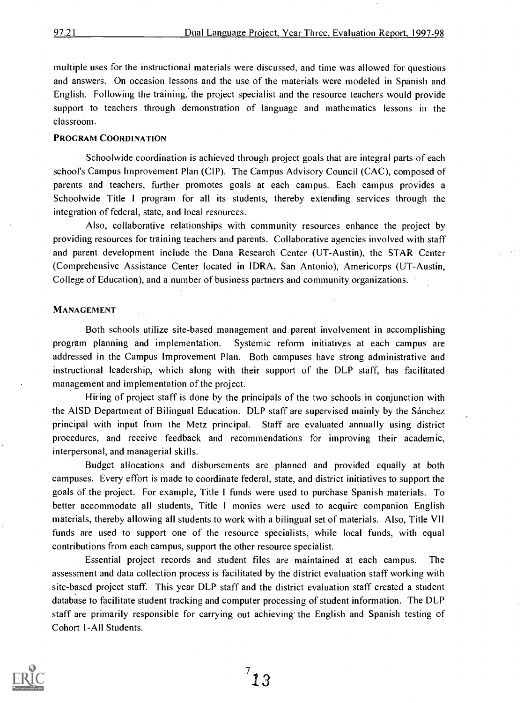multiple uses for the instructional materials were discussed, and time was allowed for questions and answers. On occasion lessons and the use of the materials were modeled in Spanish and English. Following the training, the project specialist and the resource teachers would provide support to teachers through demonstration of language and mathematics lessons in the classroom.

#### PROGRAM COORDINATION

Schoolwide coordination is achieved through project goals that are integral parts of each school's Campus Improvement Plan (CIP). The Campus Advisory Council (CAC), composed of parents and teachers, further promotes goals at each campus. Each campus provides a Schoolwide Title <sup>I</sup> program for all its students, thereby extending services through the integration of federal, state, and local resources.

Also, collaborative relationships with community resources enhance the project by providing resources for training teachers and parents. Collaborative agencies involved with staff and parent development include the Dana Research Center (UT-Austin), the STAR Center (Comprehensive Assistance Center located in IDRA, San Antonio), Americorps (UT-Austin, College of Education), and a number of business partners and community organizations.

#### MANAGEMENT

Both schools utilize site-based management and parent involvement in accomplishing program planning and implementation. Systemic reform initiatives at each campus are addressed in the Campus Improvement Plan. Both campuses have strong administrative and instructional leadership, which along with their support of the DLP staff, has facilitated management and implementation of the project.

Hiring of project staff is done by the principals of the two schools in conjunction with the AISD Department of Bilingual Education. DLP staff are supervised mainly by the Sanchez principal with input from the Metz principal. Staff are evaluated annually using district procedures, and receive feedback and recommendations for improving their academic, interpersonal, and managerial skills.

Budget allocations and disbursements are planned and provided equally at both campuses. Every effort is made to coordinate federal, state, and district initiatives to support the goals of the project. For example, Title 1 funds were used to purchase Spanish materials. To better accommodate all students, Title <sup>1</sup> monies were used to acquire companion English materials, thereby allowing all students to work with a bilingual set of materials. Also, Title VII funds are used to support one of the resource specialists, while local funds, with equal contributions from each campus, support the other resource specialist.

Essential project records and student files are maintained at each campus. The assessment and data collection process is facilitated by the district evaluation staff working with site-based project staff. This year DLP staff and the district evaluation staff created a student database to facilitate student tracking and computer processing of student information. The DLP staff are primarily responsible for carrying out achieving the English and Spanish testing of Cohort 1-All Students.

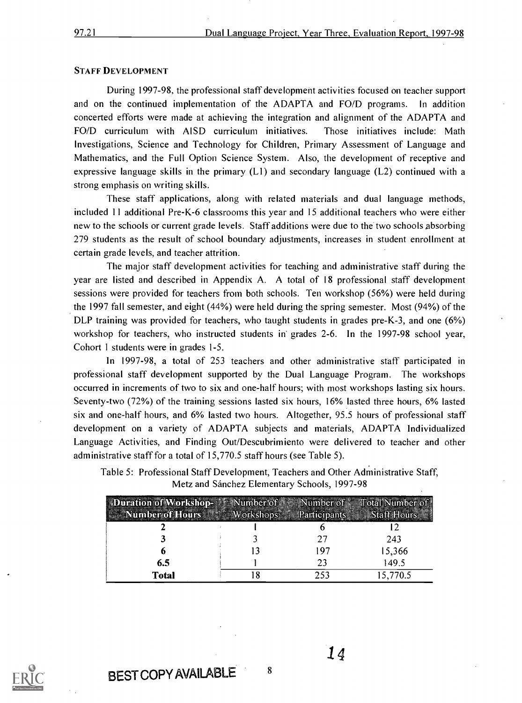#### STAFF DEVELOPMENT

During 1997-98, the professional staff development activities focused on teacher support and on the continued implementation of the ADAPTA and FO/D programs. In addition concerted efforts were made at achieving the integration and alignment of the ADAPTA and FO/D curriculum with AISD curriculum initiatives. Those initiatives include: Math Investigations, Science and Technology for Children, Primary Assessment of Language and Mathematics, and the Full Option Science System. Also, the development of receptive and expressive language skills in the primary  $(L1)$  and secondary language  $(L2)$  continued with a strong emphasis on writing skills.

These staff applications, along with related materials and dual language methods, included 11 additional Pre-K-6 classrooms this year and 15 additional teachers who were either new to the schools or current grade levels. Staff additions were due to the two schools Absorbing 279 students as the result of school boundary adjustments, increases in student enrollment at certain grade levels, and teacher attrition.

The major staff development activities for teaching and administrative staff during the year are listed and described in Appendix A. A total of 18 professional staff development sessions were provided for teachers from both schools. Ten workshop (56%) were held during the 1997 fall semester, and eight (44%) were held during the spring semester. Most (94%) of the DLP training was provided for teachers, who taught students in grades pre-K-3, and one (6%) workshop for teachers, who instructed students in grades 2-6. In the 1997-98 school year, Cohort 1 students were in grades 1-5.

In 1997-98, a total of 253 teachers and other administrative staff participated in professional staff development supported by the Dual Language Program. The workshops occurred in increments of two to six and one-half hours; with most workshops lasting six hours. Seventy-two (72%) of the training sessions lasted six hours, 16% lasted three hours, 6% lasted six and one-half hours, and 6% lasted two hours. Altogether, 95.5 hours of professional staff development on a variety of ADAPTA subjects and materials, ADAPTA Individualized Language Activities, and Finding Out/Descubrimiento were delivered to teacher and other administrative staff for a total of 15,770.5 staff hours (see Table 5).

Table 5: Professional Staff Development, Teachers and Other Administrative Staff, Metz and Sánchez Elementary Schools, 1997-98

| Duration of Workshop- All Number of<br>Number of Hours | <b>Workshops</b> | <b>Panterpants</b> | Number of Total Number of<br><b>Staff Hours</b> |
|--------------------------------------------------------|------------------|--------------------|-------------------------------------------------|
|                                                        |                  |                    |                                                 |
|                                                        |                  | - 71               | 243                                             |
| h                                                      |                  | 197                | 15,366                                          |
| 6.5                                                    |                  | 23                 | 149.5                                           |
| <b>Total</b>                                           |                  | 253                | 15,770.5                                        |



BEST COPY AVAILABLE 8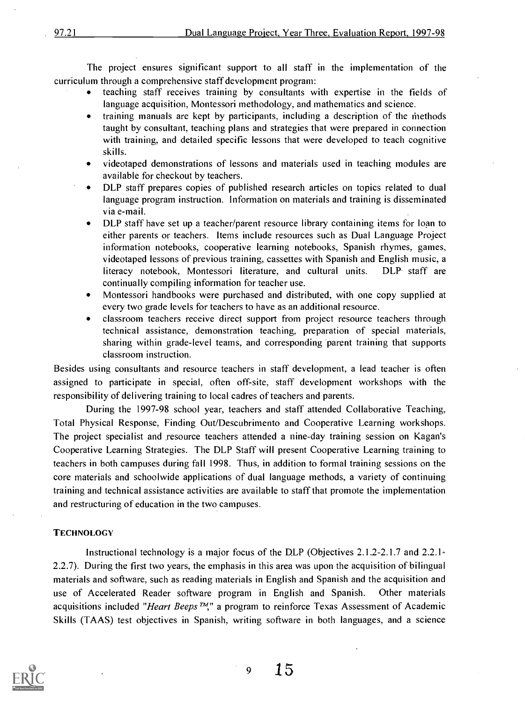The project ensures significant support to all staff in the implementation of the curriculum through a comprehensive staff development program:

- teaching staff receives training by consultants with expertise in the fields of language acquisition, Montessori methodology, and mathematics and science.
- training manuals are kept by participants, including a description of the methods  $\bullet$ taught by consultant, teaching plans and strategies that were prepared in connection with training, and detailed specific lessons that were developed to teach cognitive skills.
- videotaped demonstrations of lessons and materials used in teaching modules are  $\bullet$ available for checkout by teachers.
- DLP staff prepares copies of published research articles on topics related to dual language program instruction. Information on materials and training is disseminated via e-mail.
- DLP staff have set up a teacher/parent resource library containing items for loan to  $\bullet$ either parents or teachers. Items include resources such as Dual Language Project information notebooks, cooperative learning notebooks, Spanish rhymes, games, videotaped lessons of previous training, cassettes with Spanish and English music, a literacy notebook, Montessori literature, and cultural units. DLP. staff are continually compiling information for teacher use.
- Montessori handbooks were purchased and distributed, with one copy supplied at  $\bullet$ every two grade levels for teachers to have as an additional resource.
- classroom teachers receive direct support from project resource teachers through technical assistance, demonstration teaching, preparation of special materials, sharing within grade-level teams, and corresponding 'parent training that supports classroom instruction.

Besides using consultants and resource teachers in staff development, a lead teacher is often assigned to participate in special, often off-site, staff development workshops with the responsibility of delivering training to local cadres of teachers and parents.

During the 1997-98 school year, teachers and staff attended Collaborative Teaching, Total Physical Response, Finding Out/Descubrimento and Cooperative Learning workshops. The project specialist and resource teachers attended a nine-day training session on Kagan's Cooperative Learning Strategies. The DLP Staff will present Cooperative Learning training to teachers in both campuses during fall 1998. Thus, in addition to formal training sessions on the core materials and schoolwide applications of dual language methods, a variety of continuing training and technical assistance activities are available to staff that promote the implementation and restructuring of education in the two campuses.

#### **TECHNOLOGY**

Instructional technology is a major focus of the DLP (Objectives 2.1.2-2.1.7 and 2.2.1-2.2.7). During the first two years, the emphasis in this area was upon the acquisition of bilingual materials and software, such as reading materials in English and Spanish and the acquisition and use of Accelerated Reader software program in English and Spanish. Other materials acquisitions included "Heart Beeps  $T M$ ," a program to reinforce Texas Assessment of Academic Skills (TAAS) test objectives in Spanish, writing software in both languages, and a science



9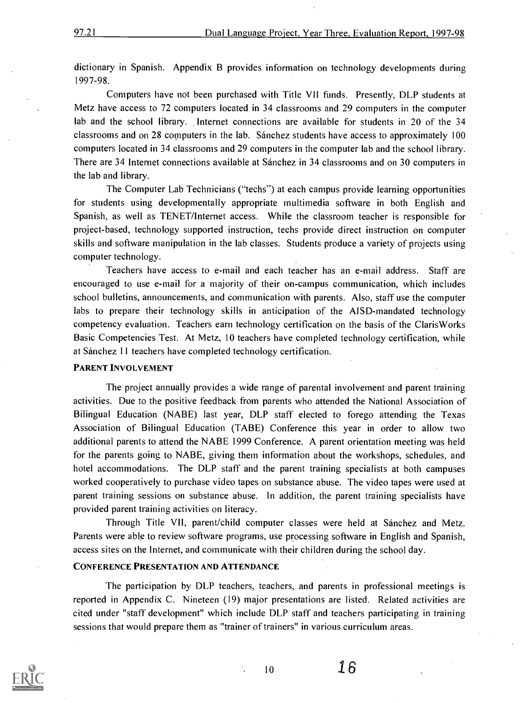dictionary in Spanish. Appendix B provides information on technology developments during 1997-98.

Computers have not been purchased with Title VII funds. Presently, DLP students at Metz have access to 72 computers located in 34 classrooms and 29 computers in the computer lab and the school library. Internet connections are available for students in 20 of the 34 classrooms and on 28 computers in the lab: Sanchez students have access to approximately 100 computers located in 34 classrooms and 29 computers in the computer lab and the school library. There are 34 Internet connections available at Sanchez in 34 classrooms and on 30 computers in the lab and library.

The Computer Lab Technicians ("techs") at each campus provide learning opportunities for students using developmentally appropriate multimedia software in both English and Spanish, as well as TENET/Internet access. While the classroom teacher is responsible for project-based, technology supported instruction, techs provide direct instruction on computer skills and software manipulation in the lab classes. Students produce a variety of projects using computer technology.

Teachers have access to e-mail and each teacher has an e-mail address. Staff are encouraged to use e-mail for a majority of their on-campus communication, which includes school bulletins, announcements, and communication with parents. Also, staff use the computer labs to prepare their technology skills in anticipation of the A1SD-mandated technology competency evaluation. Teachers earn technology certification on the basis of the Claris Works Basic Competencies Test. At Metz, 10 teachers have completed technology certification, while at Sánchez 11 teachers have completed technology certification.

#### PARENT INVOLVEMENT

The project annually provides a wide range of parental involvement and parent training activities. Due to the positive feedback from parents who attended the National Association of Bilingual Education (NABE) last year, DLP staff elected to forego attending the Texas Association of Bilingual Education (TABE) Conference this year in order to allow two additional parents to attend the NABE 1999 Conference. A parent orientation meeting was held for the parents going to NABE, giving them information about the workshops, schedules, and hotel accommodations. The DLP staff and the parent training specialists at both campuses worked cooperatively to purchase video tapes on substance abuse. The video tapes were used at parent training sessions on substance abuse. In addition, the parent training specialists have provided parent training activities on literacy.

Through Title VII, parent/child computer classes were held at Sánchez and Metz. Parents were able to review software programs, use processing software in English and Spanish, access sites on the Internet, and communicate with their children during the school day.

#### CONFERENCE PRESENTATION AND ATTENDANCE

The participation by DLP teachers, teachers, and parents in professional meetings is reported in Appendix C. Nineteen (19) major presentations are listed. Related activities are cited under "staff development" which include DLP staff and teachers participating in training sessions that would prepare them as "trainer of trainers" in various curriculum areas.



 $10 \t 16$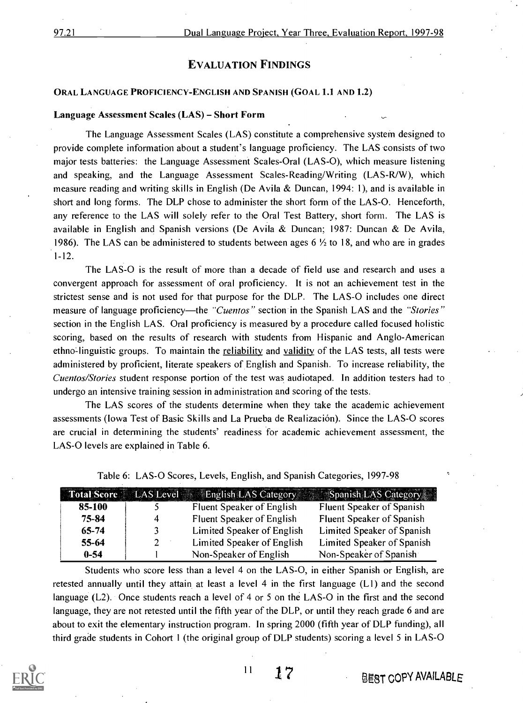#### EVALUATION FINDINGS

#### ORAL LANGUAGE PROFICIENCY-ENGLISH AND SPANISH (GOAL 1.1 AND 1.2)

#### Language Assessment Scales (LAS) - Short Form

The Language Assessment Scales (LAS) constitute a comprehensive system designed to provide complete information about a student's language proficiency. The LAS consists of two major tests batteries: the Language Assessment Scales-Oral (LAS-0), which measure listening and speaking, and the Language Assessment Scales-Reading/Writing (LAS-R/W), which measure reading and writing skills in English (De Avila & Duncan, 1994: 1), and is available in short and long forms. The DLP chose to administer the short form of the LAS-O. Henceforth, any reference to the LAS will solely refer to the Oral Test Battery, short form. The LAS is available in English and Spanish versions (De Avila & Duncan; 1987: Duncan & De Avila, 1986). The LAS can be administered to students between ages 6  $\frac{1}{2}$  to 18, and who are in grades 1-12.

The LAS-0 is the result of more than a decade of field use and research and uses a convergent approach for assessment of oral proficiency. It is not an achievement test in the strictest sense and is not used for that purpose for the DLP. The LAS-0 includes one direct measure of language proficiency—the "Cuentos" section in the Spanish LAS and the "Stories" section in the English LAS. Oral proficiency is measured by a procedure called focused holistic scoring, based on the results of research with students from Hispanic and Anglo-American ethno-linguistic groups. To maintain the reliability and validity of the LAS tests, all tests were administered by proficient, literate speakers of English and Spanish. To increase reliability, the Cuentos/Stories student response portion of the test was audiotaped. In addition testers had to undergo an intensive training session in administration and scoring of the tests.

The LAS scores of the students determine when they take the academic achievement assessments (Iowa Test of Basic Skills and La Prueba de Realización). Since the LAS-O scores are crucial in determining the students' readiness for academic achievement assessment, the LAS-0 levels are explained in Table 6.

|           |             |                            | Total Score LAS Level English LAS Category Spanish LAS Category |
|-----------|-------------|----------------------------|-----------------------------------------------------------------|
| 85-100    |             | Fluent Speaker of English  | Fluent Speaker of Spanish                                       |
| 75-84     | 4           | Fluent Speaker of English  | Fluent Speaker of Spanish                                       |
| $65 - 74$ |             | Limited Speaker of English | Limited Speaker of Spanish                                      |
| $55 - 64$ | $2^{\circ}$ | Limited Speaker of English | Limited Speaker of Spanish                                      |
| $0 - 54$  |             | Non-Speaker of English     | Non-Speaker of Spanish                                          |

|  | Table 6: LAS-O Scores, Levels, English, and Spanish Categories, 1997-98 |  |
|--|-------------------------------------------------------------------------|--|
|  |                                                                         |  |

Students who score less than a level 4 on the LAS -O, in either Spanish or English, are retested annually until they attain at least a level 4 in the first language (LI) and the second language (L2). Once students reach a level of 4 or 5 on the LAS-0 in the first and the second language, they are not retested until the fifth year of the DLP, or until they reach grade 6 and are about to exit the elementary instruction program. In spring 2000 (fifth year of DLP funding), all third grade students in Cohort 1 (the original group of DLP students) scoring a level 5 in LAS-0

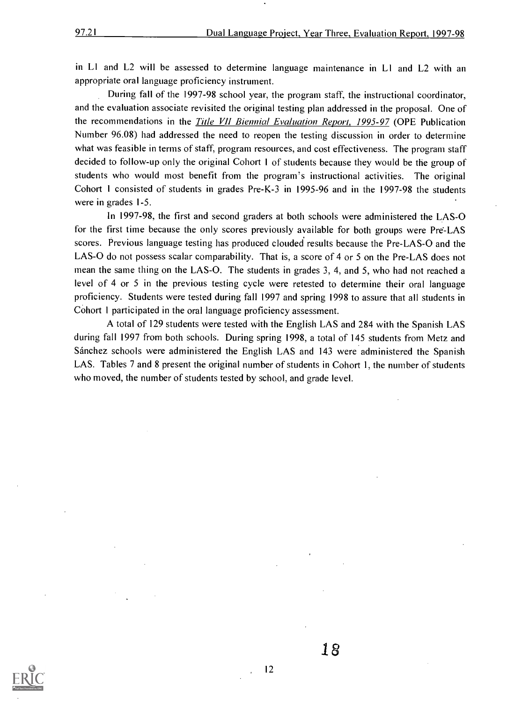in LI and L2 will be assessed to determine language maintenance in L1 and L2 with an appropriate oral language proficiency instrument.

During fall of the 1997-98 school year, the program staff, the instructional coordinator, and the evaluation associate revisited the original testing plan addressed in the proposal. One of the recommendations in the Title VII Biennial Evaluation Report, 1995-97 (OPE Publication Number 96.08) had addressed the need to reopen the testing discussion in order to determine what was feasible in terms of staff, program resources, and cost effectiveness. The program staff decided to follow-up only the original Cohort 1 of students because they would be the group of students who would most benefit from the program's instructional activities. The original Cohort I consisted of students in grades Pre-K-3 in 1995-96 and in the 1997-98 the students were in grades 1-5.

In 1997-98, the first and second graders at both schools were administered the LAS-0 for the first time because the only scores previously available for both groups were Pre'-LAS scores. Previous language testing has produced clouded results because the Pre-LAS-0 and the LAS-O do not possess scalar comparability. That is, a score of 4 or 5 on the Pre-LAS does not mean the same thing on the LAS-O. The students in grades 3, 4, and 5, who had not reached a level of 4 or 5 in the previous testing cycle were retested to determine their oral language proficiency. Students were tested during fall 1997 and spring 1998 to assure that all students in Cohort 1 participated in the oral language proficiency assessment.

A total of 129 students were tested with the English LAS and 284 with the Spanish LAS during fall 1997 from both schools. During spring 1998, a total of 145 students from Metz and Sanchez schools were administered the English LAS and 143 were administered the Spanish LAS. Tables 7 and 8 present the original number of students in Cohort 1, the number of students who moved, the number of students tested by school, and grade level.

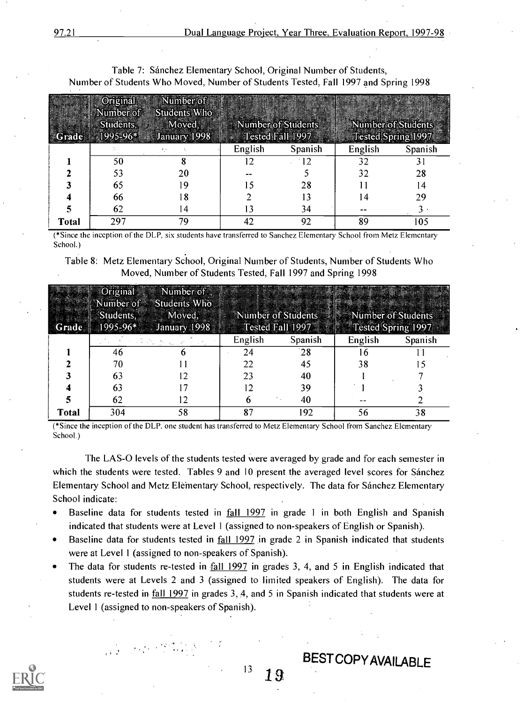#### Table 7: Sánchez Elementary School, Original Number of Students, Number of Students Who Moved, Number of Students Tested, Fall 1997 and Spring 1998

|              | Original<br>Number of<br>Students, | Number of<br>Students Who<br>Moved,<br>$1995-96*$ January 1998 | Number of Students | Tested Fall 1997 |         | Number of Students<br>Tested Spring 1997 |
|--------------|------------------------------------|----------------------------------------------------------------|--------------------|------------------|---------|------------------------------------------|
|              |                                    |                                                                | English            | Spanish          | English | Spanish                                  |
|              | 50                                 |                                                                |                    | 12               | 32      |                                          |
|              |                                    | 20                                                             |                    |                  | 32      | 28                                       |
|              | 65                                 | 19                                                             |                    | 28               |         | 4                                        |
|              | 66                                 | l 8                                                            |                    |                  | l 4     | 29                                       |
|              | 62                                 | 14                                                             |                    | 34               |         |                                          |
| <b>Total</b> | 297                                | 79                                                             | 42                 | 92               | 89      | 105                                      |

(\*Since the inception of the DLP, six students have transferred to Sanchez Elementary School from Metz Elementary School.)

Table 8: Metz Elementary School, Original Number of Students, Number of Students Who Moved, Number of Students Tested, Fall 1997 and Spring 1998

|       | Students, | Original Number of<br>Number of Students Who<br>Moved,<br>Grade 1995-96* January 1998 F |         | Number of Students Number of Students<br>Tested Fall 1997 Formal Tested Spring 1997 |         |         |
|-------|-----------|-----------------------------------------------------------------------------------------|---------|-------------------------------------------------------------------------------------|---------|---------|
|       |           |                                                                                         | English | Spanish                                                                             | English | Spanish |
|       | 46        |                                                                                         | 24      | 28                                                                                  | n       |         |
|       | 70        |                                                                                         | 22      | 45                                                                                  | 38      |         |
|       | 63        | 12                                                                                      | 23      | 40                                                                                  |         |         |
|       | 63        |                                                                                         |         | 39                                                                                  |         |         |
|       | 62        | 12                                                                                      | o       | 40                                                                                  |         |         |
| Total | 304       | 58                                                                                      | 87      | 192                                                                                 | 56      | 38      |

(\*Since the inception of the DLP:one student has transferred to Metz Elementary School from Sanchez Elementary School.)

The LAS-0 levels of the students tested were averaged by grade and for each semester in which the students were tested. Tables 9 and 10 present the averaged level scores for Sánchez Elementary School and Metz Eleinentary School, respectively. The data for Sanchez Elementary School indicate:

- Baseline data for students tested in fall 1997 in grade <sup>1</sup> in both English and Spanish indicated that students were at Level 1 (assigned to non-speakers of English or Spanish).
- $\bullet$ Baseline data for students tested in fall 1997 in grade 2 in Spanish indicated that students were at Level 1 (assigned to non-speakers of Spanish).
- The data for students re-tested in fall 1997 in grades 3, 4, and 5 in English indicated that  $\bullet$ students were at Levels 2 and 3 (assigned to limited speakers of English). The data for students re-tested in fall 1997 in grades 3, 4, and 5 in Spanish indicated that students were at Level 1 (assigned to non-speakers of Spanish).



 $13 \quad 19$ 

**BEST COPY AVAILABLE**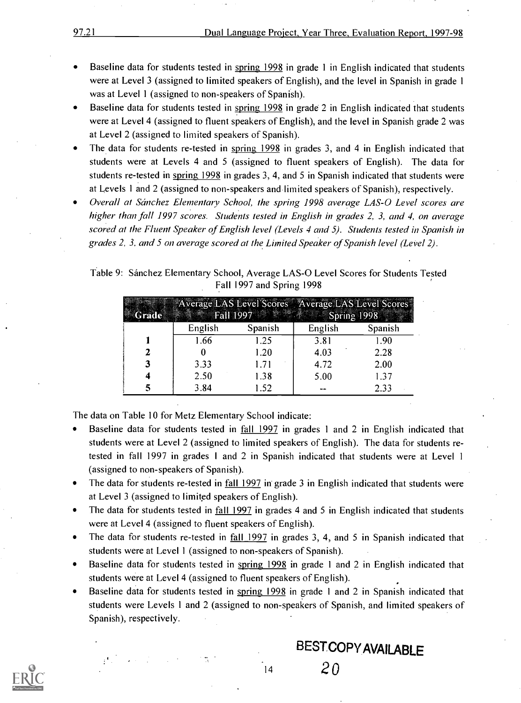- Baseline data for students tested in spring 1998 in grade 1 in English indicated that students were at Level 3 (assigned to limited speakers of English), and the level in Spanish in grade 1 was at Level 1 (assigned to non-speakers of Spanish).
- Baseline data for students tested in spring 1998 in grade 2 in English indicated that students were at Level 4 (assigned to fluent speakers of English), and the level in Spanish grade 2 was at Level 2 (assigned to limited speakers of Spanish).
- The data for students re-tested in spring 1998 in grades 3, and 4 in English indicated that students were at Levels 4 and 5 (assigned to fluent speakers of English). The data for students re-tested in spring 1998 in grades 3, 4, and 5 in Spanish indicated that students were at Levels 1 and 2 (assigned to non-speakers and limited speakers of Spanish), respectively.
- Overall at Sanchez Elementary School, the spring 1998 average LAS-0 Level scores are higher than fall 1997 scores. Students tested in English in grades 2, 3, and 4, on average scored at the Fluent Speaker of English level (Levels 4 and 5). Students tested in Spanish in grades 2, 3, and 5 on average scored at the Limited Speaker of Spanish level (Level 2).

#### Table 9: Sanchez Elementary School, Average LAS-0 Level Scores for Students Tested Fall 1997 and Spring 1998

| Grade |         | <b>Fall 1997</b> | Spring 1998 | Average LAS Level Scores Average LAS Level Scores |
|-------|---------|------------------|-------------|---------------------------------------------------|
|       | English | Spanish          | English     | Spanish                                           |
|       | 1.66    | 1.25             | 3.81        | 1.90                                              |
| 2     |         | 1.20             | 4.03        | 2.28                                              |
|       | 3.33    | 1.71             | 4.72        | 2.00                                              |
|       | 2.50    | 1.38             | 5.00        | 1.37                                              |
|       | 3.84    | 1.52             |             | 2.33                                              |

The data on Table 10 for Metz Elementary School indicate:

- Baseline data for students tested in fall 1997 in grades 1 and 2 in English indicated that students were at Level 2 (assigned to limited speakers of English). The data for students retested in fall 1997 in grades 1 and 2 in Spanish indicated that students were at Level <sup>1</sup> (assigned to non-speakers of Spanish).
- The data for students re-tested in fall 1997 in grade 3 in English indicated that students were at Level 3 (assigned to limited speakers of English).
- The data for students tested in fall 1997 in grades 4 and 5 in English indicated that students were at Level 4 (assigned to fluent speakers of English).
- The data for students re-tested in fall 1997 in grades 3, 4, and 5 in Spanish indicated that students were at Level 1 (assigned to non-speakers of Spanish).
- Baseline data for students tested in spring 1998 in grade 1 and 2 in English indicated that students were at Level 4 (assigned to fluent speakers of English).
- Baseline data for students tested in spring 1998 in grade 1 and 2 in Spanish indicated that students were Levels 1 and 2 (assigned to non-speakers of Spanish, and limited speakers of Spanish), respectively.

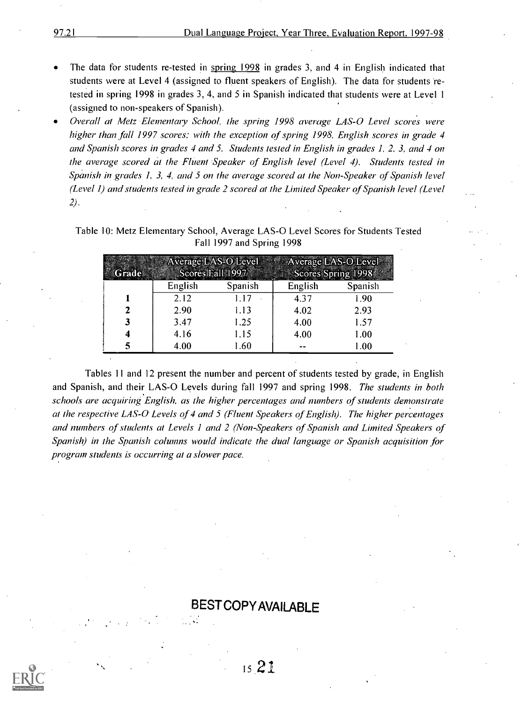- The data for students re-tested in spring 1998 in grades 3, and 4 in English indicated that students were at Level 4 (assigned to fluent speakers of English). The data for students retested in spring 1998 in grades 3, 4, and 5 in Spanish indicated that students were at Level 1 (assigned to non-speakers of Spanish).
- Overall at Metz Elementary School, the spring 1998 average LAS-0 Level scores were higher than fall 1997 scores; with the exception of spring 1998, English scores in grade 4 and Spanish scores in grades 4 and 5. Students tested in English in grades 1, 2. 3, and 4 on the average scored at the Fluent Speaker of English level (Level 4). Students tested in Spanish in grades 1, 3, 4, and 5 on the average scored at the Non-Speaker of Spanish level (Level 1) and students tested in grade 2 scored at the Limited Speaker of Spanish level (Level 2).

Table 10: Metz Elementary School, Average LAS-0 Level Scores for Students Tested Fall 1997 and Spring 1998

| नेकराव |         | Scores Fall 1997 | Average LAS-O Level Average LAS-O Level<br>Scores Spring 1998 |         |  |
|--------|---------|------------------|---------------------------------------------------------------|---------|--|
|        | English | Spanish          | English                                                       | Spanish |  |
|        | 2.12    | 1.17             | 4.37                                                          | 1.90    |  |
|        | 2.90    | 1.13             | 4.02                                                          | 2.93    |  |
|        | 3.47    | 1.25             | 4.00                                                          | 1.57    |  |
|        | 4.16    | 1.15             | 4.00                                                          | 1.00    |  |
|        | 4.00    | .60              |                                                               | 1.00    |  |

Tables 11 and 12 present the number and percent of students tested by grade, in English and Spanish, and their LAS-0 Levels during fall 1997 and spring 1998. The students in both schools are acquiring English, as the higher percentages and numbers of students demonstrate at the respective LAS-0. Levels of 4 and 5 (Fluent Speakers of English). The higher percentages and numbers of students at Levels 1 and 2 (Non-Speakers of Spanish and Limited Speakers of Spanish) in the Spanish columns would indicate the dual language or Spanish acquisition for program students is occurring at a slower pace.

### BEST COPY AVAILABLE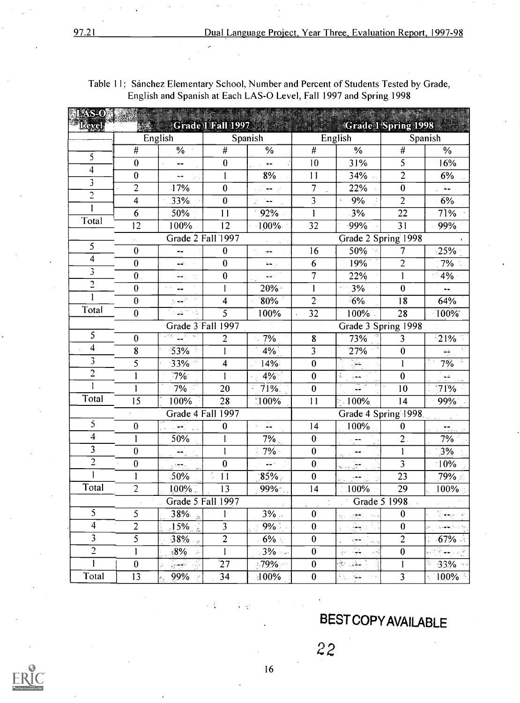| <b>ELAS-O</b><br><b>Eavel</b> |                  |                                                                                   | Grade 1 Fall 1997 |                          |                         | <b>Scrade 1 Spring 1998</b>                   |                         |                          |
|-------------------------------|------------------|-----------------------------------------------------------------------------------|-------------------|--------------------------|-------------------------|-----------------------------------------------|-------------------------|--------------------------|
|                               |                  | English                                                                           |                   | Spanish                  |                         | English                                       |                         | Spanish                  |
|                               | #                | %                                                                                 | $\overline{\#}$   | $\%$                     | $\overline{t}$          | $\frac{0}{6}$                                 | $\overline{\#}$         | %                        |
| 5                             | $\bf{0}$         | $\overline{\phantom{a}}$                                                          | $\bf{0}$          | $\frac{1}{2}$            | 10                      | 31%                                           | 5                       | 16%                      |
| 4                             | $\bf{0}$         | ٠.                                                                                | $\mathbf{I}$      | 8%                       | $\overline{11}$         | 34%                                           | $\overline{2}$          | 6%                       |
| 3                             | 2                | 17%                                                                               | $\pmb{0}$         | الراجعان                 | $\overline{7}$          | 22%                                           | $\pmb{0}$               | $\frac{1}{2}$            |
| $\overline{2}$                | 4                | 33%                                                                               | $\bf{0}$          | المخار<br>a.             | $\overline{3}$          | 9%                                            | $\overline{2}$          | 6%                       |
|                               | 6                | 50%                                                                               | 11                | 92%                      | $\mathbf{1}$            | 3%                                            | $\overline{22}$         | 71%                      |
| Total                         | $\overline{12}$  | 100%                                                                              | $\overline{12}$   | 100%                     | 32                      | $-99%$                                        | 31                      | 99%                      |
|                               |                  | Grade 2 Fall 1997                                                                 |                   |                          |                         | Grade 2 Spring 1998                           |                         |                          |
| 5                             | $\bf{0}$         | --                                                                                | $\bf{0}$          | المصاد                   | 16                      | 50%                                           | 7                       | 25%                      |
| $\overline{\mathbf{4}}$       | $\boldsymbol{0}$ | أباريتها                                                                          | $\bf{0}$          | $\omega_{\rm{min}}$      | 6                       | 19%                                           | $\overline{c}$          | 7%                       |
| 3                             | $\boldsymbol{0}$ | زاد رجگ                                                                           | $\bf{0}$          | $\omega_{\rm{m}}$ :      | $\overline{7}$          | 22%                                           | 1                       | $-4\%$                   |
| $\overline{c}$                | $\bf{0}$         | ee.                                                                               |                   | 20%                      | $\mathbf{I}$            | 3%                                            | $\bf{0}$                | $\overline{\phantom{a}}$ |
|                               | $\bf{0}$         | ال المعنى<br>الماليون                                                             | 4                 | 80%                      | $\overline{2}$          | 6%                                            | 18                      | 64%                      |
| Total                         | $\bf{0}$         | $\Delta \Sigma^{\prime\prime}$ , $\beta \lambda$                                  | $\overline{5}$    | 100%                     | 32                      | 100%                                          | 28                      | 100%                     |
|                               |                  | Grade 3 Fall 1997                                                                 |                   |                          | Grade 3 Spring 1998     |                                               |                         |                          |
| 5                             | $\bf{0}$         | ang <u>Ta</u> rawa                                                                | $\overline{2}$    | 7%                       | $\overline{\mathbf{8}}$ | 73%                                           | $\overline{3}$          | $-21%$                   |
| $\overline{4}$                | 8                | 53%                                                                               | 1                 | $4\%$                    | $\overline{3}$          | 27%                                           | $\pmb{0}$               | إشد                      |
| 3                             | 5                | $33\%$                                                                            | 4                 | 14%                      | $\overline{0}$          | ķ.                                            | $\mathbf{I}$            | 7%                       |
| $\overline{2}$                |                  | $7\%$                                                                             |                   | $4\%$                    | $\boldsymbol{0}$        | ÷.<br>iee.                                    | $\pmb{0}$               |                          |
| $\mathbf{I}$                  |                  | 7%                                                                                | 20                | 71%.                     | $\bf{0}$                | 픊                                             | 10                      | 71%                      |
| Total                         | $\overline{15}$  | 100%                                                                              | 28                | 100%                     | 11                      | $-100\%$                                      | 14                      | 99%                      |
|                               |                  | Grade 4 Fall 1997                                                                 |                   |                          |                         | Grade 4 Spring 1998                           |                         |                          |
| 5                             | $\bf{0}$         | ان الأم <del>ا</del> ر ال                                                         | $\boldsymbol{0}$  | Шu                       | 4                       | 100%                                          | $\bf{0}$                | $\frac{1}{2}$            |
| $\overline{4}$                |                  | 50%                                                                               | 1                 | $7\%$                    | $\bf{0}$                |                                               | 2.                      | 7%                       |
| 3                             | $\bf{0}$         | $\overline{\mathcal{L}}_{\mathcal{A}_{\mathcal{A}}\cup\mathcal{A}_{\mathcal{A}}}$ | 1                 | $7\sqrt{0}$              | $\bf{0}$                |                                               | $\mathbf{I}$            | 3%                       |
| $\overline{2}$                | $\bf{0}$         | ودججني                                                                            | $\bf{0}$          | المشا                    | $\bf{0}$                | anda<br>Sanada Sa                             | $\overline{\mathbf{3}}$ | $\sqrt{10\%}$            |
|                               |                  | .50%                                                                              | 11                | $85\%$                   | $\bf{0}$                | ÷÷                                            | 23                      | 79%                      |
| Total                         | $\overline{c}$   | 100%                                                                              | $\overline{13}$   | $99\%$                   | $\overline{14}$         | 100%                                          | $\overline{29}$         | 100%                     |
|                               |                  | Grade 5 Fall 1997                                                                 |                   |                          |                         | Grade 5 1998                                  |                         |                          |
| 5                             | 5                | $38\%$                                                                            | 1                 | $3\%$ .                  | $\boldsymbol{0}$        | 化离色                                           | $\bf{0}$                | 3.44 M                   |
| $\overline{4}$                | $\overline{c}$   | $\sqrt{15\%}$                                                                     | 3                 | $9\%$                    | $\pmb{0}$               | $\frac{\partial \phi}{\partial \overline{z}}$ | $\bf{0}$                | وديائيت                  |
| $\overline{\mathbf{3}}$       | 5                | $38\%$                                                                            | $\overline{2}$    | $6\%$                    | $\pmb{0}$               | se≖ j                                         | $\overline{2}$          | $-67\%$                  |
| $\overline{2}$                | 1                | $*8\%$                                                                            | $\mathbf{l}$      | $3\%$                    | $\pmb{0}$               | ਕੁੰਗ ਦੇਸ਼                                     | $\pmb{0}$               | والمأكد الأقراء ولا      |
| $\mathbf{I}$                  | $\pmb{0}$        | ्र<br>इत्तर <sup>्</sup> ।                                                        | $\overline{27}$   | $\frac{1}{2}$ 79% $\sim$ | $\boldsymbol{0}$        | $\omega \leq \omega$ .                        | $\mathbf{I}$            | $-33\%$ +                |
|                               |                  |                                                                                   |                   |                          |                         |                                               |                         |                          |

Table 11: Sánchez Elementary School, Number and Percent of Students Tested by Grade, English and Spanish at Each LAS-0 Level, Fall 1997 and Spring 1998

经变

### BESTCOPYAVAILABLE

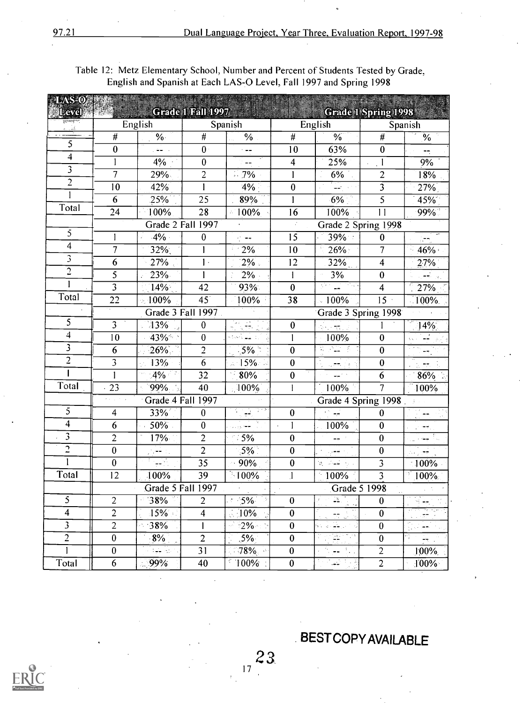#### Table 12: Metz Elementary School, Number and Percent of Students Tested by Grade, English and Spanish at Each LAS-O Level, Fall 1997 and Spring 1998

| LAS-O<br>Level:           |                           |                                                              | Grade 1 Fall 1997 |                                |                         | <b>Grade 1 Spring 1998</b>                      |                         |                                       |  |
|---------------------------|---------------------------|--------------------------------------------------------------|-------------------|--------------------------------|-------------------------|-------------------------------------------------|-------------------------|---------------------------------------|--|
| $\frac{1}{2}$             |                           | English                                                      |                   | Spanish                        |                         | English                                         |                         | Spanish                               |  |
|                           | $\#$                      | $\%$ .                                                       | $\#$              | $\frac{0}{6}$                  | $\#$                    | $\frac{1}{2}$                                   | $\#$                    | $\%$                                  |  |
| 5                         | $\bf{0}$                  | والعفار                                                      | $\mathbf{0}$      | $\overline{\phantom{a}}$       | 10                      | 63%                                             | $\bf{0}$                | ÷                                     |  |
| $\overline{4}$            |                           | 4%                                                           | $\bf{0}$          | $- -$                          | $\overline{\mathbf{4}}$ | 25%                                             | $\mathbf{I}$            | 9%                                    |  |
| 3                         | $\overline{7}$            | 29%                                                          | $\overline{c}$    | $-7\%$                         |                         | 6%                                              | $\overline{c}$          | 1.8%                                  |  |
| $\overline{c}$            | 10                        | 42%                                                          |                   | 4%                             | $\bf{0}$                | 44.                                             | $\overline{3}$          | 27%                                   |  |
|                           | 6                         | 25%                                                          | 25                | 89%                            |                         | 6%                                              | 5                       | 45%                                   |  |
| Total                     | 24                        | 100%                                                         | 28                | $-100%$                        | 16                      | 100%                                            | 11                      | 99%                                   |  |
|                           |                           | Grade 2 Fall 1997                                            |                   |                                | $\mathcal{I}$           | Grade 2 Spring 1998                             |                         |                                       |  |
| 5                         | 1                         | $.4\%$                                                       | $\boldsymbol{0}$  | $\sigma_{\rm c}$ and           | 15                      | 39%                                             | $\bf{0}$                | ĺТ,                                   |  |
| $\overline{4}$            | $\overline{7}$            | 32%                                                          |                   | 2%                             | 10                      | 26%                                             | 7                       | 46%+                                  |  |
| $\overline{\mathfrak{z}}$ | 6                         | 27%                                                          | $\mathbf{1}$ .    | $2\%$                          | 12                      | 32%                                             | 4                       | 27%                                   |  |
| $\overline{c}$            | 5                         | 23%                                                          |                   | $2\%$                          |                         | 3%                                              | $\boldsymbol{0}$        | والأفقا                               |  |
|                           | $\overline{\overline{3}}$ | 14%                                                          | 42                | 93%                            | $\bf{0}$                | <u>ਸੰਗੜ੍</u> ਹ ਵਿੱ                              | $\overline{\mathbf{4}}$ | 27%                                   |  |
| Total                     | 22                        | 100%                                                         | $45^\circ$        | 100%                           | 38                      | $-100%$                                         | $15 -$                  | $100\%$ .                             |  |
|                           | Grade 3 Fall 1997.        |                                                              |                   |                                | Grade 3 Spring 1998     |                                                 |                         |                                       |  |
| 5                         | $\overline{3}$            | 13%                                                          | $\bf{0}$          | ilaa 1980)<br>Sulkateria       | $\pmb{0}$               | ्<br>सन्दर्भ                                    | 1                       | 14%                                   |  |
| $\overline{4}$            | 10                        | 43%*                                                         | $\bf{0}$          | ktori <u>Li</u> nni            | 1                       | 100%                                            | $\boldsymbol{0}$        | $\mathcal{F}$                         |  |
| 3                         | 6                         | $26\%$ .                                                     | $\overline{2}$    | $-5\%$                         | $\bf{0}$                | 医皮膜炎                                            | $\boldsymbol{0}$        | -5.                                   |  |
| $\overline{2}$            | $\overline{3}$            | 13%                                                          | $\overline{6}$    | 15%                            | $\bf{0}$                | स्तान्त्रम् ।<br>प्राप्तान्त्रम् । अ            | $\boldsymbol{0}$        | $\pi\pi$                              |  |
|                           |                           | $4\%$                                                        | 32                | 80%                            | $\bf{0}$                | $\sigma = \omega \omega \sigma / \sigma$        | 6                       | 86%                                   |  |
| Total                     | 23                        | 99%                                                          | 40                | $100\%$                        |                         | 100%                                            | $\overline{7}$          | 100%                                  |  |
|                           | Kanadian a                | Grade 4 Fall 1997                                            |                   |                                |                         | Grade 4 Spring 1998                             |                         |                                       |  |
| 5                         | 4                         | 33%                                                          | $\bf{0}$          | स्त्रिक अधिकारित स्<br>सन्दर्भ | $\boldsymbol{0}$        | تي ڪ                                            | $\bf{0}$                | 7.,                                   |  |
| $\overline{4}$            | 6                         | 50%                                                          | $\bf{0}$          | 234 T                          | $\mathbf{I}$            | 100%                                            | $\bf{0}$                |                                       |  |
| $\overline{\mathbf{3}}$   | $\overline{2}$            | 17%                                                          | $\overline{2}$    | $\sim$ 5%                      | $\bf{0}$                | -- 1                                            | $\pmb{0}$               | use T                                 |  |
| $\overline{c}$            | $\bf{0}$                  | رو شمرار                                                     | $\overline{2}$    | $5\%$                          | $\bf{0}$                | وأججرنا                                         | $\bf{0}$                | ل <del>اور</del> (من                  |  |
|                           | $\bf{0}$                  | 다. 1999년<br>대한민국                                             | 35                | 90%                            | $\bf{0}$                | $\mathcal{O}^{\pm}$ , where $\mathcal{O}^{\pm}$ | $\overline{\mathbf{3}}$ | $\cdot 100\%$                         |  |
| Total                     | 12                        | 100%                                                         | 39                | $\approx 100\%$                | $\mathbf{l}$            | $-100\%$                                        | $\overline{\mathbf{3}}$ | $\sqrt{100\%}$                        |  |
|                           |                           | Grade 5 Fall 1997                                            |                   |                                |                         | Grade 5 1998                                    |                         |                                       |  |
| 5                         | $\overline{c}$            | 38%                                                          | $\overline{c}$    | $-5%$                          | $\pmb{0}$               | $\frac{1}{2}$                                   | $\bf{0}$                |                                       |  |
| 4                         | $\overline{2}$            | 15%                                                          | 4                 | $\lesssim 10\%$                | $\pmb{0}$               | ನ್ ಭ                                            | $\overline{0}$          | 歌詞<br>$\overline{\pi} \overline{\pi}$ |  |
| $\overline{\mathbf{3}}$   | $\overline{2}$            | 38%                                                          |                   | $-2\%$                         | $\pmb{0}$               | الراكب والكلا                                   | $\pmb{0}$               | تعجز لرياد                            |  |
| $\overline{2}$            | $\pmb{0}$                 | $8\%$                                                        | $\overline{c}$    | $5\%$                          | $\pmb{0}$               | (동)<br>문                                        | $\bf{0}$                | ήş.<br>육소                             |  |
|                           | $\boldsymbol{0}$          | $\frac{1}{2} \frac{1}{\sqrt{2}}$ , $\frac{1}{2} \frac{1}{2}$ | $\overline{31}$   | 78%                            | $\pmb{0}$               | Λ.,<br>$\frac{1}{2}$ , $\frac{1}{2}$ ,          | $\overline{2}$          | 100%                                  |  |
| Total                     | 6                         | 99%                                                          | 40                | 100%                           | $\pmb{0}$               | والمها                                          | $\overline{2}$          | 100%                                  |  |

BESTCOPYAVAILABLE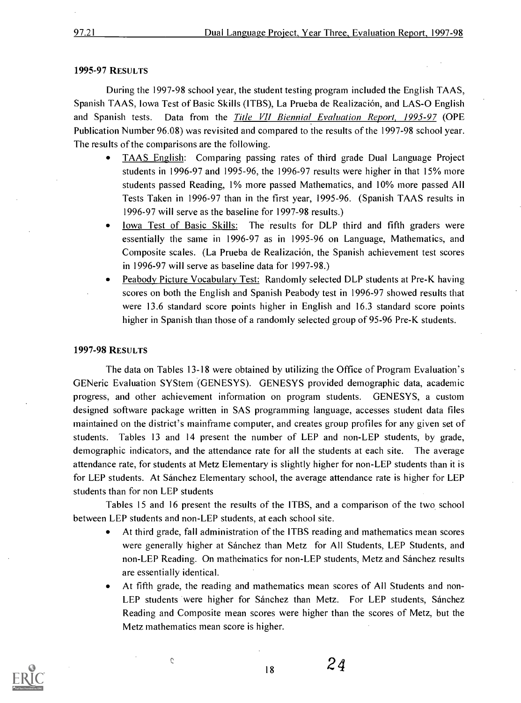#### 1995-97 RESULTS

During the 1997-98 school year, the student testing program included the English TAAS, Spanish TAAS, Iowa Test of Basic Skills (ITBS), La Prueba de Realizacion, and LAS-0 English and Spanish tests. Data from the Title VII Biennial Evaluation Report, 1995-97 (OPE Publication Number 96.08) was revisited and compared to the results of the 1997-98 school year. The results of the comparisons are the following.

- TAAS English: Comparing passing rates of third grade Dual Language Project students in 1996-97 and 1995-96, the 1996-97 results were higher in that 15% more students passed Reading, 1% more passed Mathematics, and 10% more passed All Tests Taken in 1996-97 than in the first year, 1995-96. (Spanish TAAS results in 1996-97 will serve as the baseline for 1997-98 results.)
- Iowa Test of Basic Skills: The results for DLP third and fifth graders were essentially the same in 1996-97 as in 1995-96 on Language, Mathematics, and Composite scales. (La Prueba de Realizacion, the Spanish achievement test scores in 1996-97 will serve as baseline data for 1997-98.)
- Peabody Picture Vocabulary Test: Randomly selected DLP students at Pre-K having  $\bullet$ scores on both the English and Spanish Peabody test in 1996-97 showed results that were 13.6 standard score points higher in English and 16.3 standard score points higher in Spanish than those of a randomly selected group of 95-96 Pre-K students.

#### 1997-98 RESULTS

The data on Tables 13-18 were obtained by utilizing the Office of Program Evaluation's GENeric Evaluation SYStem (GENESYS). GENESYS provided demographic data, academic progress, and other achievement information on program students. GENESYS, a custom designed software package written in SAS programming language, accesses student data files maintained on the district's mainframe computer, and creates group profiles for any given set of students. Tables 13 and 14 present the number of LEP and non-LEP students, by grade, demographic indicators, and the attendance rate for all the students at each site. The average attendance rate, for students at Metz Elementary is slightly higher for non-LEP students than it is for LEP students. At Sanchez Elementary school, the average attendance rate is higher for LEP students than for non LEP students

Tables 15 and 16 present the results of the ITBS, and a comparison of the two school between LEP students and non-LEP students, at each school site.

- $\bullet$ At third grade, fall administration of the ITBS reading and mathematics mean scores were generally higher at Sanchez than Metz for All Students, LEP Students, and non-LEP Reading. On mathematics for non-LEP students, Metz and Sanchez results are essentially identical.
- At fifth grade, the reading and mathematics mean scores of All Students and non- $\bullet$ LEP students were higher for Sánchez than Metz. For LEP students, Sánchez Reading and Composite mean scores were higher than the scores of Metz, but the Metz mathematics mean score is higher.

 $18$  24

 $\mathcal{L}$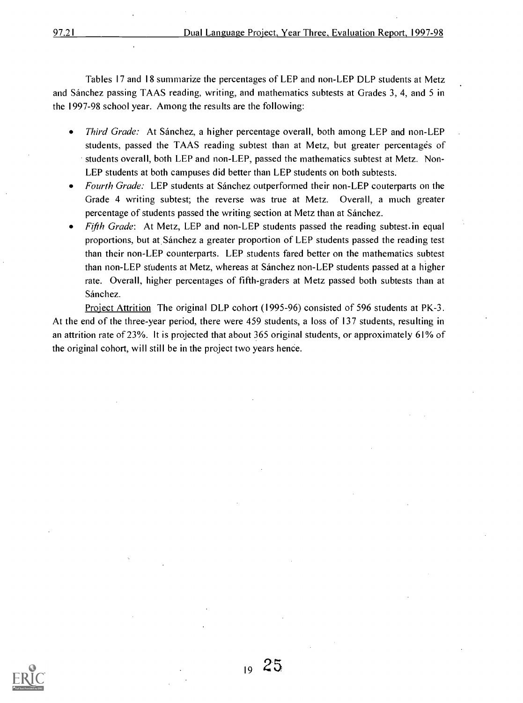Tables 17 and 18 summarize the percentages of LEP and non-LEP DLP students at Metz and Sanchez passing TAAS reading, writing, and mathematics subtests at Grades 3, 4, and 5 in the 1997-98 school year. Among the results are the following:

- Third Grade: At Sanchez, a higher percentage overall, both among LEP and non-LEP students, passed the TAAS reading subtest than at Metz, but greater percentages of students overall, both LEP and non-LEP, passed the mathematics subtest at Metz. Non-LEP students at both campuses did better than LEP students on both subtests.
- Fourth Grade: LEP students at Sánchez outperformed their non-LEP couterparts on the Grade 4 writing subtest; the reverse was true at Metz. Overall, a much greater percentage of students passed the writing section at Metz than at Sanchez.
- Fifth Grade: At Metz, LEP and non-LEP students passed the reading subtest in equal proportions, but at, Sanchez a greater proportion of LEP students passed the reading test than their non-LEP counterparts. LEP students fared better on the mathematics subtest than non-LEP students at Metz, whereas at Sanchez non-LEP students passed at a higher rate. Overall, higher percentages of fifth-graders at Metz passed both subtests than at Sánchez.

Project Attrition The original DLP cohort (1995-96) consisted of 596 students at PK-3. At the end of the three-year period, there were 459 students, a loss of 137 students, resulting in an attrition rate of 23%. It is projected that about 365 original students, or approximately 61% of the original cohort, will still be in the project two years hence.



 $19\ 25$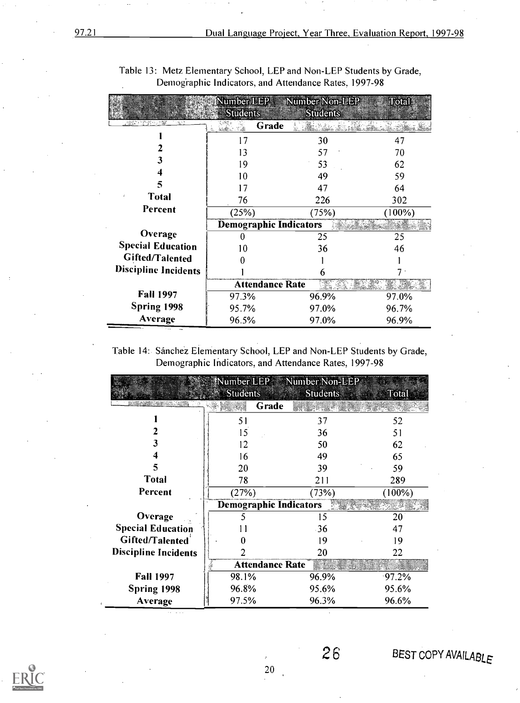|                             | Number LEP<br><b>Students</b> | Number Non-LEP<br><b>Students</b> | Total     |
|-----------------------------|-------------------------------|-----------------------------------|-----------|
|                             | Grade<br>riali I              |                                   |           |
|                             | 17                            | 30                                | 47        |
|                             | 13                            | 57                                | 70        |
|                             | 9                             | 53                                | 62        |
|                             | 10                            | 49                                | 59        |
| 5                           | 17                            | 47                                | 64        |
| Total                       | 76                            | 226                               | 302       |
| Percent                     | (25%)                         | (75%)                             | $(100\%)$ |
|                             | <b>Demographic Indicators</b> |                                   |           |
| Overage                     |                               | 25                                | 25        |
| <b>Special Education</b>    | 10                            | 36                                | 46        |
| <b>Gifted/Talented</b>      |                               |                                   |           |
| <b>Discipline Incidents</b> |                               | 6                                 |           |
|                             | <b>Attendance Rate</b>        |                                   |           |
| <b>Fall 1997</b>            | 97.3%                         | 96.9%                             | 97.0%     |
| Spring 1998                 | 95.7%                         | 97.0%                             | 96.7%     |
| Average                     | 96.5%                         | 97.0%                             | 96.9%     |

Table 13: Metz Elementary School, LEP and Non-LEP Students by Grade, Demographic Indicators, and Attendance Rates, 1997-98

Table 14: Sánchez Elementary School, LEP and Non-LEP Students by Grade, Demographic Indicators, and Attendance Rates, 1997-98

|                             |                               | Number LEP Number Non-LEP |           |
|-----------------------------|-------------------------------|---------------------------|-----------|
|                             | <b>Students</b>               | <b>Students</b>           | Total     |
|                             | Grade                         |                           |           |
|                             | 51                            | 37                        | 52        |
|                             | 15                            | 36                        | 51        |
|                             | 12                            | 50                        | 62        |
|                             | 16                            | 49                        | 65        |
| 5                           | 20                            | 39                        | 59        |
| <b>Total</b>                | 78                            | 211                       | 289       |
| Percent                     | (27%)                         | (73%)                     | $(100\%)$ |
|                             | <b>Demographic Indicators</b> |                           |           |
| Overage                     |                               | 15                        | 20        |
| <b>Special Education</b>    |                               | $-36$                     | 47        |
| Gifted/Talented             |                               | 19                        | 19        |
| <b>Discipline Incidents</b> |                               | 20                        | 22        |
|                             | <b>Attendance Rate</b>        |                           |           |
| <b>Fall 1997</b>            | 98.1%                         | 96.9%                     | $97.2\%$  |
| Spring 1998                 | 96.8%                         | 95.6%                     | 95.6%     |
| Average                     | 97.5%                         | 96.3%                     | 96.6%     |



 $26$  BEST COPY AVAILABLE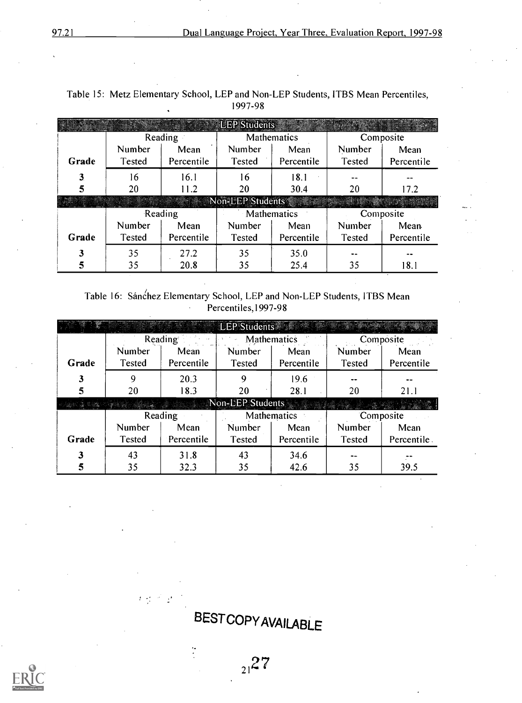|       |               |            | <b>LEP Students</b> |             |           |            |  |
|-------|---------------|------------|---------------------|-------------|-----------|------------|--|
|       | Reading       |            |                     | Mathematics | Composite |            |  |
|       | Number        | Mean       | Number              | Mean        | Number    | Mean       |  |
| Grade | Tested        | Percentile | Tested              | Percentile  | Tested    | Percentile |  |
| 3     | 16            | 16.1       | 16                  | 18.1        |           |            |  |
| 5     | 20            | 11.2       | 20                  | 30.4        | 20        | 17.2       |  |
|       |               |            | Non-LEP Students    |             |           |            |  |
|       |               | Reading    | Mathematics         |             | Composite |            |  |
|       | Number        | Mean       | Number              | Mean        | Number    | Mean.      |  |
| Grade | <b>Tested</b> | Percentile | Tested              | Percentile  | Tested    | Percentile |  |
| 3     | 35            | 27.2       | 35                  | 35.0        |           |            |  |
|       |               |            |                     |             |           |            |  |

| Table 15: Metz Elementary School, LEP and Non-LEP Students, ITBS Mean Percentiles, |  |
|------------------------------------------------------------------------------------|--|
| 1997-98                                                                            |  |

Table 16: Sánchez Elementary School, LEP and Non-LEP Students, ITBS Mean Percentiles,1997-98

|       |        |            | <b>LEP Students</b> |             |           |             |  |
|-------|--------|------------|---------------------|-------------|-----------|-------------|--|
|       |        | Reading    |                     | Mathematics | Composite |             |  |
|       | Number | Mean       | Number              | Mean        | Number    | Mean        |  |
| Grade | Tested | Percentile | <b>Tested</b>       | Percentile  | Tested    | Percentile  |  |
| 3     | 9      | 20.3       | 9                   | 19.6        |           |             |  |
| 5     | 20     | 18.3       | 20                  | 28.1        | 20        | 21.1        |  |
|       |        |            | Non-LEP Students    |             |           |             |  |
|       |        | Reading    |                     | Mathematics |           | Composite   |  |
|       | Number | Mean       | Number              | Mean        | Number    | Mean        |  |
| Grade | Tested | Percentile | Tested              | Percentile  | Tested    | Percentile. |  |
|       | 43     | 31.8       | 43                  | 34.6        |           |             |  |
| 5     | 35     | 32.3       | 35                  | 42.6        | 35        | 39.5        |  |

**BESTCOPY AVAILABLE** 

**大型产品** 

 $\ddot{\cdot}$ 

 $21^2$ 

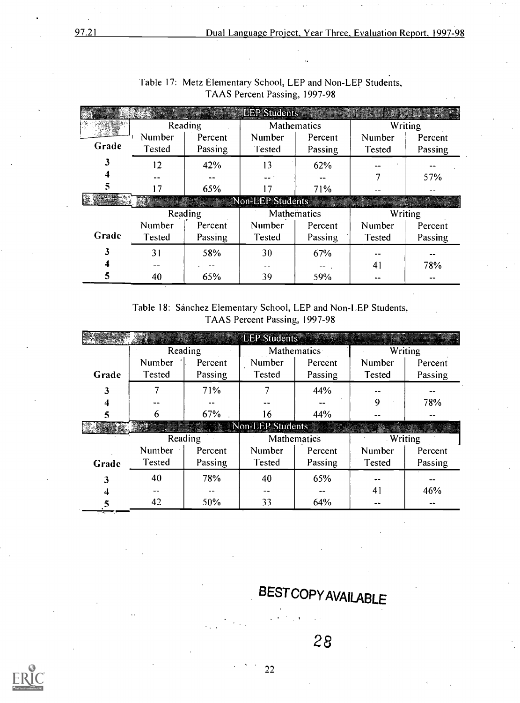|       | <u>o ang mga </u> |         | <b>LEP Students</b> |             |               |         |
|-------|-------------------|---------|---------------------|-------------|---------------|---------|
|       |                   | Reading |                     | Mathematics |               | Writing |
|       | Number            | Percent | Number              | Percent     | Number        | Percent |
| Grade | <b>Tested</b>     | Passing | Tested              | Passing     | Tested        | Passing |
|       | 12                | 42%     | 13                  | 62%         |               |         |
|       |                   |         |                     |             |               | 57%     |
|       | 7                 | 65%     | 17                  | 71%         |               |         |
|       |                   |         | Non-LEP Students    |             |               |         |
|       | Reading           |         |                     |             |               |         |
|       |                   |         | Mathematics         |             |               | Writing |
|       | Number            | Percent | Number              | Percent     | Number        | Percent |
| Grade | Tested            | Passing | Tested              | Passing     | <b>Tested</b> | Passing |
|       | 31                | 58%     | 30                  | 67%         |               |         |
|       |                   |         | --                  | --          | 41            | 78%     |

| Table 17: Metz Elementary School, LEP and Non-LEP Students, |  |
|-------------------------------------------------------------|--|
| TAAS Percent Passing, 1997-98                               |  |

Table 18: Sanchez Elementary School, LEP and Non-LEP Students, TAAS Percent Passing, 1997-98

|       |         |         | <b>LEP Students</b> |         |                |         |
|-------|---------|---------|---------------------|---------|----------------|---------|
|       | Reading |         | Mathematics         |         | <b>Writing</b> |         |
|       | Number  | Percent | Number              | Percent | Number         | Percent |
| Grade | Tested  | Passing | <b>Tested</b>       | Passing | <b>Tested</b>  | Passing |
| 3     |         | 71%     |                     | 44%     |                |         |
|       |         |         |                     |         | 9              | 78%     |
| 5     | b       | 67%     | 16                  | 44%     |                |         |
|       |         |         | Non-LEP Students    |         |                |         |
|       |         | Reading | Mathematics         |         | <b>Writing</b> |         |
|       |         |         |                     |         |                |         |
|       | Number  | Percent | Number              | Percent | Number         | Percent |
| Grade | Tested  | Passing | <b>Tested</b>       | Passing | Tested         | Passing |
|       | 40      | 78%     | 40                  | 65%     |                |         |
|       |         |         |                     |         | 41             | 46%     |

28

BEST COPYAVAILABLE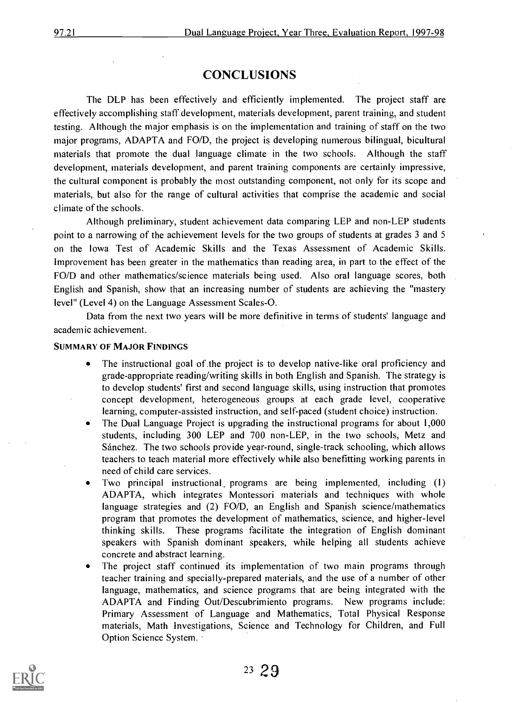#### **CONCLUSIONS**

The DLP has been effectively and efficiently implemented. The project staff are effectively accomplishing staff development, materials development, parent training, and student testing. Although the major emphasis is on the implementation and training of staff on the two major programs, ADAPTA and FO/D, the project is developing numerous bilingual, bicultural materials that promote the dual language climate in the two schools. Although the staff development, materials development, and parent training components are certainly impressive, the cultural component is probably the most outstanding component, not only for its scope and materials, but also for the range of cultural activities that comprise the academic and social climate of the schools.

Although preliminary, student achievement data comparing LEP and non-LEP students point to a narrowing of the achievement levels for the two groups of students at grades 3 and 5 on the Iowa Test of Academic Skills and the Texas Assessment of Academic Skills. Improvement has been greater in the mathematics than reading area, in part to the effect of the FO/D and other mathematics/science materials being used. Also oral language scores, both English and Spanish, show that an increasing number of students are achieving the "mastery level" (Level 4) on the Language Assessment Scales-O.

Data from the next two years will be more definitive in terms of students' language and academic achievement.

#### SUMMARY OF MAJOR FINDINGS

- The instructional goal of the project is to develop native-like oral proficiency and  $\bullet$ grade-appropriate reading/writing skills in both English and Spanish. The strategy is to develop students' first and second language skills, using instruction that promotes concept development, heterogeneous groups at each grade level, cooperative learning, computer-assisted instruction, and self-paced (student choice) instruction.
- The Dual Language Project is upgrading the instructional programs for about 1,000 students, including 300 LEP and 700 non-LEP, in the two schools, Metz and Sanchez. The two schools provide year-round, single-track schooling, which allows teachers to teach material more effectively while also benefitting working parents in need of child care services.
- Two principal instructional programs are being implemented, including (1) ADAPTA, which integrates Montessori materials and techniques with whole language strategies and (2) FO/D, an English and Spanish science/mathematics program that promotes the development of mathematics, science, and higher-level thinking skills. These programs facilitate the integration of English dominant speakers with Spanish dominant speakers, while helping all students achieve concrete and abstract learning.
- The project staff continued its implementation of two main programs through teacher training and specially-prepared materials, and the use of a number of other language, mathematics, and science programs that are being integrated with the ADAPTA and Finding Out/Descubrimiento programs. New programs include: Primary Assessment of Language and Mathematics, Total Physical Response materials, Math Investigations, Science and Technology for Children, and Full Option Science System.

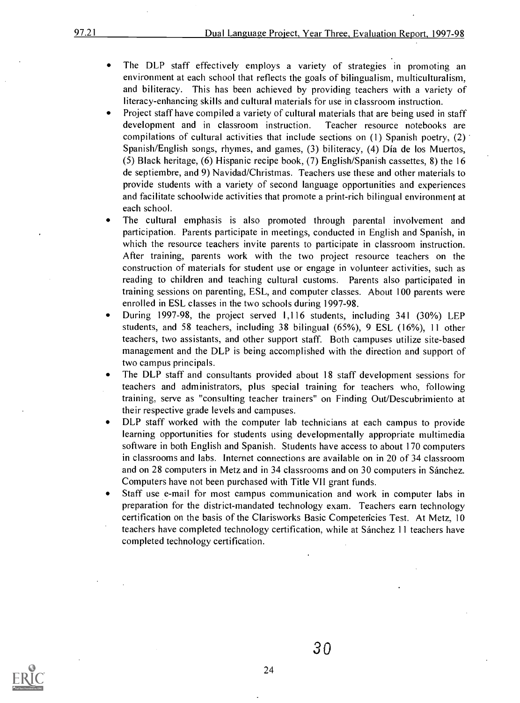- The DLP staff effectively employs a variety of strategies in promoting an  $\bullet$ environment at each school that reflects the goals of bilingualism, multiculturalism, and biliteracy. This has been achieved by providing teachers with a variety of literacy-enhancing skills and cultural materials for use in classroom instruction.
- Project staff have compiled a variety of cultural materials that are being used in staff development and in classroom instruction. Teacher resource notebooks are compilations of cultural activities that include sections on (1) Spanish poetry, (2) Spanish/English songs, rhymes, and games, (3) biliteracy, (4) Dia de los Muertos, (5) Black heritage, (6) Hispanic recipe book, (7) English/Spanish cassettes, 8) the 16 de septiembre, and 9) Navidad/Christmas. Teachers use these and other materials to provide students with a variety of second language opportunities and experiences and facilitate schoolwide activities that promote a print-rich bilingual environment at each school.
- $\bullet$ The cultural emphasis is also promoted through parental involvement and participation. Parents participate in meetings, conducted in English and Spanish, in which the resource teachers invite parents to participate in classroom instruction. After training, parents work with the two project resource teachers on the construction of materials for student use or engage in volunteer activities, such as reading to children and teaching cultural customs. Parents also participated in training sessions on parenting, ESL, and computer classes. About 100 parents were enrolled in ESL classes in the two schools during 1997-98.
- During 1997-98, the project served 1,116 students, including 341 (30%) LEP  $\bullet$ students, and 58 teachers, including 38 bilingual (65%), 9 ESL (16%), 11 other teachers, two assistants, and other support staff. Both campuses utilize site-based management and the DLP is being accomplished with the direction and support of two campus principals.
- The DLP staff and consultants provided about 18 staff development sessions for  $\bullet$ teachers and administrators, plus special training for teachers who, following training, serve as "consulting teacher trainers" on Finding Out/Descubrimiento at their respective grade levels and campuses.
- DLP staff worked with the computer lab technicians at each campus to provide  $\bullet$ learning opportunities for students using developmentally appropriate multimedia software in both English and Spanish. Students have access to about 170 computers in classrooms and labs. Internet connections are available on in 20 of 34 classroom and on 28 computers in Metz and in 34 classrooms and on 30 computers in Sanchez. Computers have not been purchased with Title VII grant funds.
- Staff use e-mail for most campus communication and work in computer labs in preparation for the district-mandated technology exam. Teachers earn technology certification on the basis of the Clarisworks Basic Competericies Test. At Metz, 10 teachers have completed technology certification, while at Sanchez 11 teachers have completed technology certification.

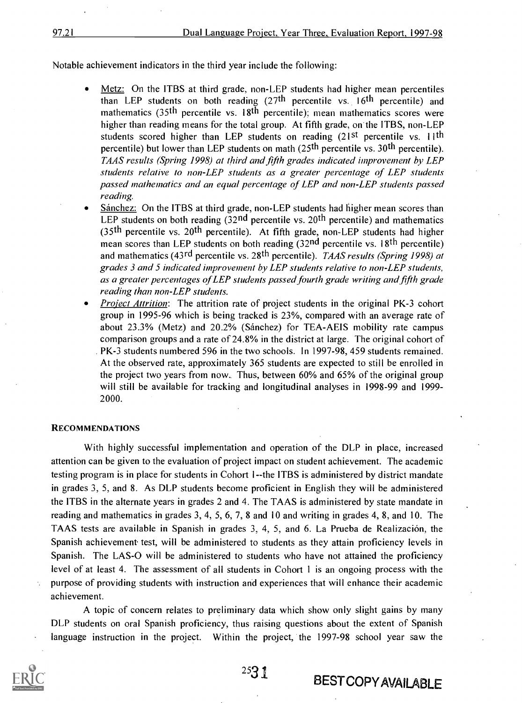Notable achievement indicators in the third year include the following:

- Metz: On the ITBS at third grade, non-LEP students had higher mean percentiles than LEP students on both reading  $(27<sup>th</sup>$  percentile vs. 16<sup>th</sup> percentile) and mathematics  $(35<sup>th</sup>$  percentile vs. 18<sup>th</sup> percentile); mean mathematics scores were higher than reading means for the total group. At fifth grade, on the ITBS, non-LEP students scored higher than LEP students on reading  $(21^{st}$  percentile vs. 11<sup>th</sup> percentile) but lower than LEP students on math  $(25<sup>th</sup>$  percentile vs. 30<sup>th</sup> percentile). TAAS results (Spring 1998) at third and fifth grades indicated improvement by LEP students relative to non-LEP students as a greater percentage of LEP students passed mathematics and an equal percentage of LEP and non-LEP students passed reading.
- Sanchez: On the ITBS at third grade, non-LEP students had higher mean scores than LEP students on both reading  $(32<sup>nd</sup>$  percentile vs.  $20<sup>th</sup>$  percentile) and mathematics (35<sup>th</sup> percentile vs. 20<sup>th</sup> percentile). At fifth grade, non-LEP students had higher mean scores than LEP students on both reading  $(32<sup>nd</sup>$  percentile vs. 18<sup>th</sup> percentile) and mathematics (43rd percentile vs. 28<sup>th</sup> percentile). *TAAS results (Spring 1998) at* grades 3 and 5 indicated improvement by LEP students relative to non-LEP students, as a greater percentages of LEP students passed fourth grade writing and fifth grade reading than non-LEP students.
- **Project Attrition:** The attrition rate of project students in the original PK-3 cohort group in 1995-96 which is being tracked is 23%, compared with an average rate of about 23.3% (Metz) and 20.2% (Sanchez) for TEA-AEIS mobility rate campus comparison groups and a rate of 24.8% in the district at large. The original cohort of . PK-3 students numbered 596 in the two schools. In 1997-98, 459 students remained. At the observed rate, approximately 365 students are expected to still be enrolled in the project two years from now.. Thus, between 60% and 65% of the original group will still be available for tracking and longitudinal analyses in 1998-99 and 1999- 2000.

#### RECOMMENDATIONS

With highly successful implementation and operation of the DLP in place, increased attention can be given to the evaluation of project impact on student achievement. The academic testing program is in place for students in Cohort 1--the ITBS is administered by district mandate in grades 3, 5, and 8. As DLP students become proficient in English they will be administered the ITBS in the alternate years in grades 2 and 4. The TAAS is administered by state mandate in reading and mathematics in grades 3, 4, 5, 6, 7, 8 and 10 and writing in grades 4, 8, and 10. The TAAS tests are available in Spanish in grades  $3, 4, 5,$  and  $6$ . La Prueba de Realización, the Spanish achievement test, will be administered to students as they attain proficiency levels in Spanish. The LAS-0 will be administered to students who have not attained the proficiency level of at least 4. The assessment of all students in Cohort 1 is an ongoing process with the purpose of providing students with instruction and experiences that will enhance their academic achievement.

A topic of concern relates to preliminary data which show only slight gains by many DLP students on oral Spanish proficiency, thus raising questions about the extent of Spanish language instruction in the project. Within the project, the 1997-98 school year saw the



2531

**BESTCOPY AVAILABLE**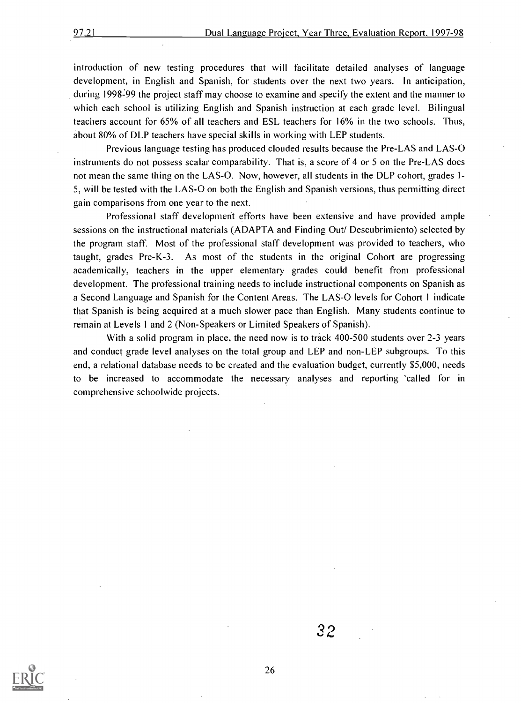introduction of new testing procedures that will facilitate detailed analyses of language development, in English and Spanish, for students over the next two years. In anticipation, during 1998-99 the project staff may choose to examine and specify the extent and the manner to which each school is utilizing English and Spanish instruction at each grade level. Bilingual teachers account for 65% of all teachers and ESL teachers for 16% in the two schools. Thus, about 80% of DLP teachers have special skills in working with LEP students.

Previous language testing has produced clouded results because the Pre-LAS and LAS-0 instruments do not possess scalar comparability. That is, a score of 4 or 5 on the Pre-LAS does not mean the same thing on the LAS-O. Now, however, all students in the DLP cohort, grades 1-5, will be tested with the LAS-0 on both the English and Spanish versions, thus permitting direct gain comparisons from one year to the next.

Professional staff development efforts have been extensive and have provided ample sessions on the instructional materials (ADAPTA and Finding Out/ Descubrimiento) selected by the program staff. Most of the professional staff development was provided to teachers, who taught, grades Pre-K-3. As most of the students in the original Cohort are progressing academically, teachers in the upper elementary grades could benefit from professional development. The professional training needs to include instructional components on Spanish as a Second Language and Spanish for the Content Areas. The LAS-0 levels for Cohort 1 indicate that Spanish is being acquired at a much slower pace than English. Many students continue to remain at Levels 1 and 2 (Non-Speakers or Limited Speakers of Spanish).

With a solid program in place, the need now is to track 400-500 students over 2-3 years and conduct grade level analyses on the total group and LEP and non-LEP subgroups. To this end, a relational database needs to be created and the evaluation budget, currently \$5,000, needs to be increased to accommodate the necessary analyses and reporting 'called for in comprehensive schoolwide projects.



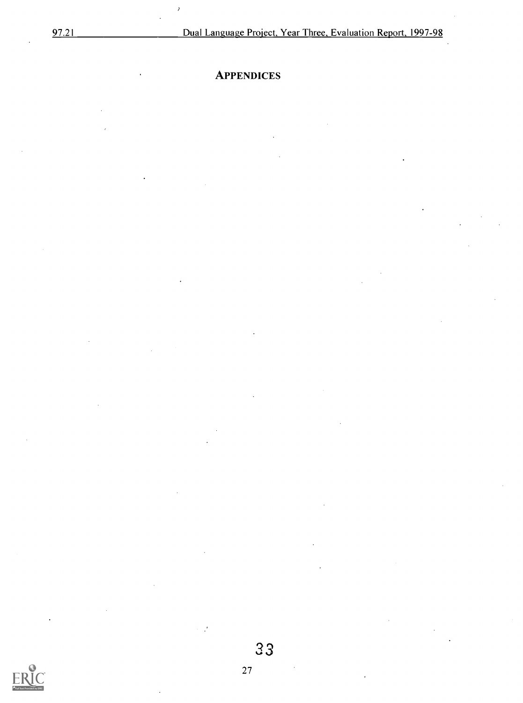### **APPENDICES**

 $\overline{\phantom{a}}$ 

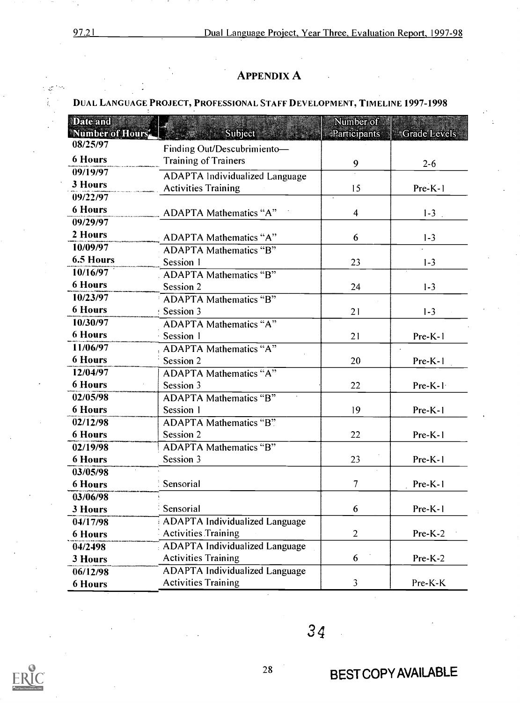97.21 Dual Language Project, Year Three, Evaluation Report, 1997-98

#### APPENDIX A

#### DUAL LANGUAGE PROJECT, PROFESSIONAL STAFF DEVELOPMENT, TIMELINE 1997-1998

| <b>Date and</b><br>Number of Hours | Subject                               | Number of<br>Participants | <b>Grade Levels</b> |  |
|------------------------------------|---------------------------------------|---------------------------|---------------------|--|
| 08/25/97                           | Finding Out/Descubrimiento-           |                           |                     |  |
| <b>6 Hours</b>                     | <b>Training of Trainers</b>           |                           |                     |  |
| 09/19/97                           |                                       | 9                         | $2 - 6$             |  |
| 3 Hours                            | <b>ADAPTA Individualized Language</b> |                           |                     |  |
| 09/22/97                           | <b>Activities Training</b>            | 15                        | Pre-K-1             |  |
| <b>6 Hours</b>                     | <b>ADAPTA Mathematics "A"</b>         | $\overline{\mathcal{A}}$  | $1-3$ .             |  |
| 09/29/97                           |                                       |                           |                     |  |
| 2 Hours                            | <b>ADAPTA Mathematics "A"</b>         | 6                         | $1 - 3$             |  |
| 10/09/97                           | <b>ADAPTA Mathematics "B"</b>         |                           |                     |  |
| 6.5 Hours                          | Session 1                             | 23                        | $1 - 3$             |  |
| 10/16/97                           | <b>ADAPTA Mathematics "B"</b>         |                           |                     |  |
| <b>6 Hours</b>                     | Session 2                             | 24                        | $1 - 3$             |  |
| 10/23/97                           | <b>ADAPTA Mathematics "B"</b>         |                           |                     |  |
| <b>6 Hours</b>                     | Session 3                             | 21                        | $1 - 3$             |  |
| 10/30/97                           | <b>ADAPTA Mathematics "A"</b>         |                           |                     |  |
| <b>6 Hours</b>                     | Session 1                             | 21                        | $Pre-K-1$           |  |
| 11/06/97                           | <b>ADAPTA Mathematics "A"</b>         |                           |                     |  |
| <b>6 Hours</b>                     | Session 2                             | 20                        | Pre-K-1             |  |
| 12/04/97                           | <b>ADAPTA Mathematics "A"</b>         |                           |                     |  |
| <b>6 Hours</b>                     | Session 3                             | 22                        | Pre-K-1             |  |
| 02/05/98                           | <b>ADAPTA Mathematics "B"</b>         |                           |                     |  |
| <b>6 Hours</b>                     | Session 1                             | 19                        | $Pre-K-1$           |  |
| 02/12/98                           | <b>ADAPTA Mathematics "B"</b>         |                           |                     |  |
| <b>6 Hours</b>                     | Session 2                             | 22                        | Pre-K-1             |  |
| 02/19/98                           | <b>ADAPTA Mathematics "B"</b>         |                           |                     |  |
| <b>6 Hours</b>                     | Session 3                             | 23                        | Pre-K-1             |  |
| 03/05/98                           |                                       |                           |                     |  |
| <b>6 Hours</b>                     | Sensorial                             | $\overline{7}$            | Pre-K-1             |  |
| 03/06/98                           |                                       |                           |                     |  |
| 3 Hours                            | Sensorial                             | 6                         | $Pre-K-1$           |  |
| 04/17/98                           | <b>ADAPTA Individualized Language</b> |                           |                     |  |
| <b>6 Hours</b>                     | <b>Activities Training</b>            | $\overline{2}$            | $Pre-K-2$           |  |
| 04/2498                            | <b>ADAPTA Individualized Language</b> |                           |                     |  |
| 3 Hours                            | <b>Activities Training</b>            | 6                         | Pre-K-2             |  |
| 06/12/98                           | <b>ADAPTA Individualized Language</b> |                           |                     |  |
| <b>6 Hours</b>                     | <b>Activities Training</b>            | 3                         | Pre-K-K             |  |



34

÷,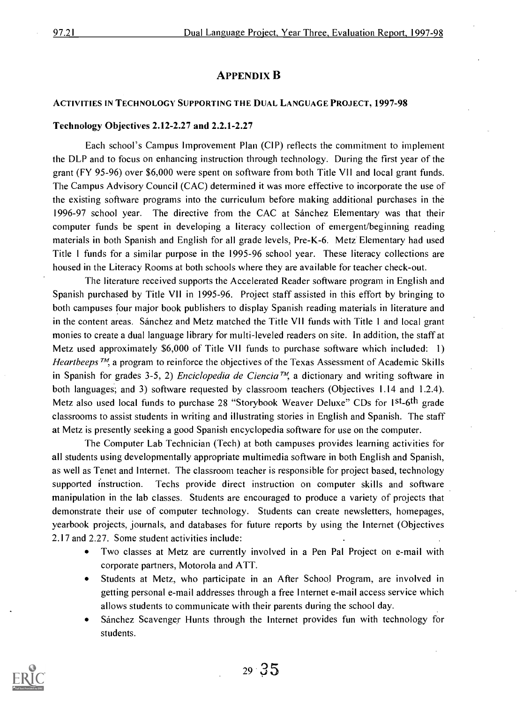#### APPENDIX B

#### ACTIVITIES IN TECHNOLOGY SUPPORTING THE DUAL LANGUAGE PROJECT, 1997-98

#### Technology Objectives 2.12-2.27 and 2.2.1-2.27

Each school's Campus Improvement Plan (CIP) reflects the commitment to implement the DLP and to focus on enhancing instruction through technology. During the first year of the grant (FY 95-96) over \$6,000 were spent on software from both Title VII and local grant funds. The Campus Advisory Council (CAC) determined it was more effective to incorporate the use of the existing software programs into the curriculum before making additional purchases in the 1996-97 school year. The directive from the CAC at Sanchez Elementary was that their computer funds be spent in developing a literacy collection of emergent/beginning reading materials in both Spanish and English for all grade levels, Pre-K-6. Metz Elementary had used Title 1 funds for a similar purpose in the 1995-96 school year. These literacy collections are housed in the Literacy Rooms at both schools where they are available for teacher check-out.

The literature received supports the Accelerated Reader software program in English and Spanish purchased by Title VII in 1995-96. Project staff assisted in this effort by bringing to both campuses four major book publishers to display Spanish reading materials in literature and in the content areas. Sanchez and Metz matched the Title VII funds with Title 1 and local grant monies to create a dual language library for multi-leveled readers on site. In addition, the staff at Metz used approximately \$6,000 of Title VII funds to purchase software which included: 1) Heartbeeps  $\pi$ , a program to reinforce the objectives of the Texas Assessment of Academic Skills in Spanish for grades 3-5, 2) *Enciclopedia de Ciencia*<sup>TM</sup>, a dictionary and writing software in both languages; and 3) software requested by classroom teachers (Objectives 1.14 and 1.2.4). Metz also used local funds to purchase 28 "Storybook Weaver Deluxe" CDs for 1st-6th grade classrooms to assist students in writing and illustrating stories in English and Spanish. The staff at Metz is presently seeking a good Spanish encyclopedia software for use on the computer.

The Computer Lab Technician (Tech) at both campuses provides learning activities for all students using developmentally appropriate multimedia software in both English and Spanish, as well as Tenet and Internet. The classroom teacher is responsible for project based, technology supported instruction. Techs provide direct instruction on computer skills and software manipulation in the lab classes. Students are encouraged to produce a variety of projects that demonstrate their use of computer technology. Students can create newsletters, homepages, yearbook projects, journals, and databases for future reports by using the Internet (Objectives 2.17 and 2.27. Some student activities include:

- Two classes at Metz are currently involved in a Pen Pal Project on e-mail with  $\bullet$ corporate partners, Motorola and ATT.
- Students at Metz, who participate in an After School Program, are involved in  $\bullet$ getting personal e-mail addresses through a free Internet e-mail access service which allows students to communicate with their parents during the school day.
- Sanchez Scavenger Hunts through the Internet provides fun with technology for students.

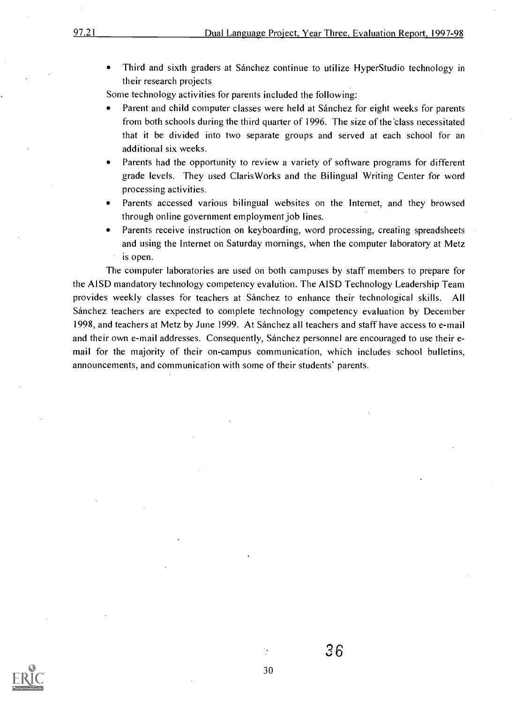Third and sixth graders at Sánchez continue to utilize HyperStudio technology in  $\bullet$ their research projects

Some technology activities for parents included the following:

- Parent and child computer classes were held at Sanchez for eight weeks for parents from both schools during the third quarter of 1996. The size of the 'class necessitated that it be divided into two separate groups and served at each school for an additional six weeks.
- Parents had the opportunity to review a variety of software programs for different grade levels. They used ClarisWorks and the Bilingual Writing Center for word processing activities.
- Parents accessed various bilingual websites on the Internet, and they browsed through online government employment job lines.
- Parents receive instruction on keyboarding, word processing, creating spreadsheets and using the Internet on Saturday mornings, when the computer laboratory at Metz is open.

The computer laboratories are used on both campuses by staff members to prepare for the AISD mandatory technology competency evaltition. The AISD Technology Leadership Team provides weekly classes for teachers at Sanchez to enhance their technological skills. All Sanchez teachers are expected to complete technology competency evaluation by December 1998, and teachers at Metz by June 1999. At Sanchez all teachers and staff have access to e-mail and their own e-mail addresses. Consequently, Sánchez personnel are encouraged to use their email for the majority of their on-campus communication, which includes school bulletins, announcements, and communication with some of their students' parents.



 $36$ 

30

Ò,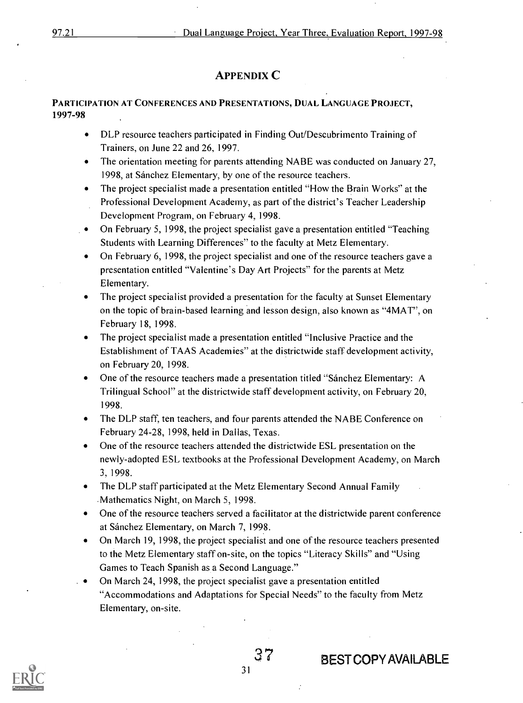#### APPENDIX C

#### PARTICIPATION AT CONFERENCES AND PRESENTATIONS, DUAL LANGUAGE PROJECT, 1997-98

- DLP resource teachers participated in Finding Out/Descubrimento Training of Trainers, on June 22 and 26, 1997.
- The orientation meeting for parents attending NABE was conducted on January 27, 1998, at Sánchez Elementary, by one of the resource teachers.
- The project specialist made a presentation entitled "How the Brain Works" at the Professional Development Academy, as part of the district's Teacher Leadership Development Program, on February 4, 1998.
- On February 5, 1998, the project specialist gave a presentation entitled "Teaching Students with Learning Differences" to the faculty at Metz Elementary.
- On February 6, 1998, the project specialist and one of the resource teachers gave a presentation entitled "Valentine's Day Art Projects" for the parents at Metz Elementary.
- The project specialist provided a presentation for the faculty at Sunset Elementary on the topic of brain-based learning and lesson design, also known as "4MAT", on February 18, 1998.
- The project specialist made a presentation entitled "Inclusive Practice and the Establishment of TAAS Academies" at the districtwide staff development activity, on February 20, 1998.
- One of the resource teachers made a presentation titled "Sánchez Elementary: A Trilingual School" at the districtwide staff development activity, on February 20, 1998.
- The DLP staff, ten teachers, and four parents attended the NABE Conference on February 24-28, 1998, held in Dallas, Texas.
- One of the resource teachers attended the districtwide ESL presentation on the newly-adopted ESL textbooks at the Professional Development Academy, on March 3, 1998.
- The DLP staff participated at the Metz Elementary Second Annual Family .Mathematics Night, on March 5, 1998.
- One of the resource teachers served a facilitator at the districtwide parent conference at Sánchez Elementary, on March 7, 1998.
- On March 19, 1998, the project specialist and one of the resource teachers presented to the Metz Elementary staff on-site, on the topics "Literacy Skills" and "Using Games to Teach Spanish as a Second Language."
- On March 24, 1998, the project specialist gave a presentation entitled "Accommodations and Adaptations for Special Needs" to the faculty from Metz Elementary, on-site.



### 7 BEST COPY AVAILABLE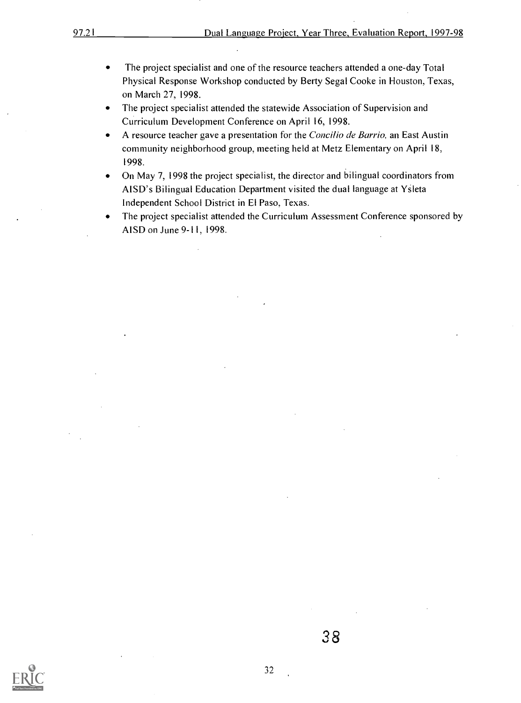- The project specialist and one of the resource teachers attended a one-day Total  $\bullet$ Physical Response Workshop conducted by Berty Segal Cooke in Houston, Texas, on March 27, 1998.
- The project specialist attended the statewide Association of Supervision and  $\bullet$ Curriculum Development Conference on April 16, 1998.
- A resource teacher gave a presentation for the Concilio de Barrio, an East Austin  $\bullet$ community neighborhood group, meeting held at Metz Elementary on April 18, 1998.
- On May 7, 1998 the project specialist, the director and bilingual coordinators from  $\bullet$ AISD's Bilingual Education Department visited the dual language at Ysieta Independent School District in El Paso, Texas.
- The project specialist attended the Curriculum Assessment Conference sponsored by  $\bullet$ AISD on June 9-11, 1998.

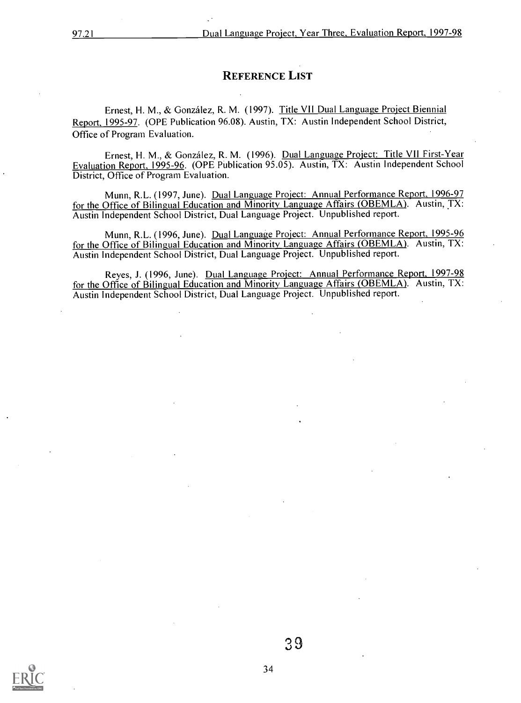#### REFERENCE LIST

Ernest, H. M., & Gonzalez, R. M. (1997). Title VII Dual Language Project Biennial Report, 1995-97. (OPE Publication 96.08). Austin, TX: Austin Independent School District, Office of Program Evaluation.

Ernest, H. M., & Gonzalez, R. M. (1996). Dual Language Project: Title VII First-Year Evaluation Report, 1995-96. (OPE Publication 95.05). Austin, TX: Austin Independent School District, Office of Program Evaluation.

Munn, R.L. (1997, June). Dual Language Project: Annual Performance Report, 1996-97 for the Office of Bilingual Education and Minority Language Affairs (OBEMLA). Austin, TX: Austin Independent School District, Dual Language Project. Unpublished report.

Munn, R.L. (1996, June). Dual Language Project: Annual Performance Report, 1995-96 for the Office of Bilingual Education and Minority Language Affairs (OBEMLA). Austin, TX: Austin Independent School District, Dual Language Project. Unpublished report.

Reyes, J. (1996, June). Dual Language Project: Annual Performance Report, 1997-98 for the Office of Bilingual Education and Minority Language Affairs (OBEMLA). Austin, TX: Austin Independent School District, Dual Language Project. Unpublished report.

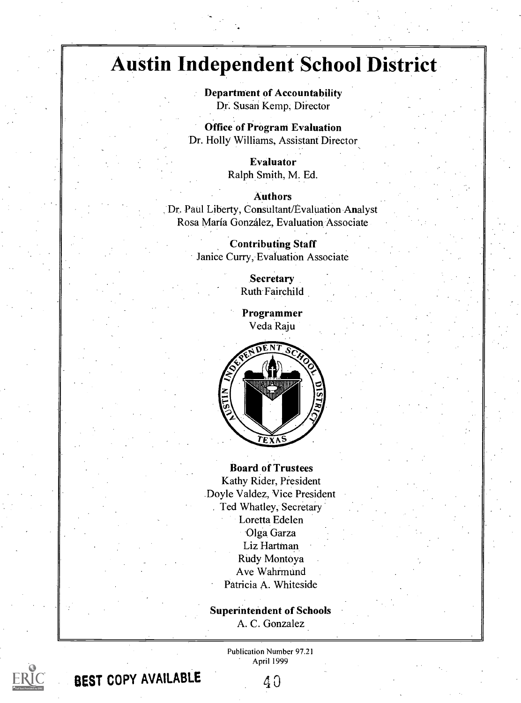### Austin Independent School District

Department of Accountability Dr. Susan Kemp, Director

Office of Program Evaluation Dr. Holly Williams, Assistant Director

> Evaluator Ralph Smith, M. Ed.

Authors Dr. Paul Liberty, Consultant/Evaluation Analyst Rosa Maria Gonzalez, Evaluation Associate

> Contributing Staff Janice Curry, Evaluation Associate

> > **Secretary** Ruth-Fairchild

Programmer Veda Raju



Board of Trustees Kathy Rider, President Doyle Valdez, Vice President . Ted Whatley, Secretary Loretta Edelen Olga Garza Liz Hartman Rudy Montoya Ave Wahrmund Patricia A. Whiteside

Superintendent of Schools A. C. Gonzalez

> Publication Number 97.21 April 1999



BEST COPY AVAILABLE